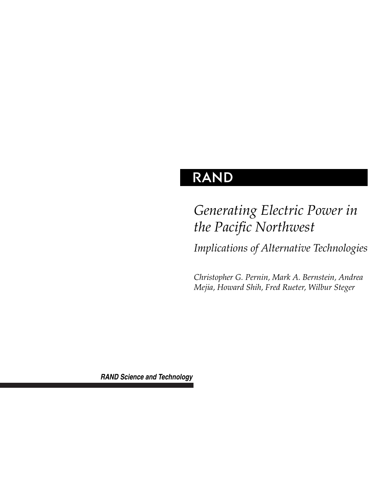# **RAND**

*Generating Electric Power in the Pacific Northwest*

*Implications of Alternative Technologies*

*Christopher G. Pernin, Mark A. Bernstein, Andrea Mejia, Howard Shih, Fred Rueter, Wilbur Steger*

*RAND Science and Technology*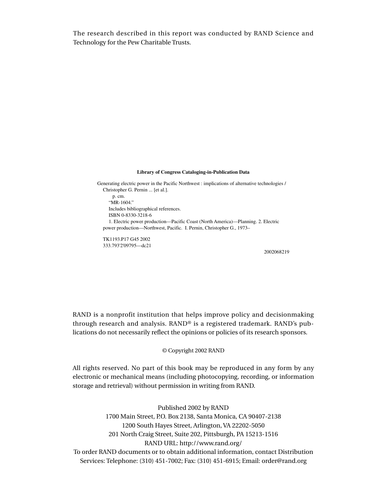The research described in this report was conducted by RAND Science and Technology for the Pew Charitable Trusts.

#### **Library of Congress Cataloging-in-Publication Data**

Generating electric power in the Pacific Northwest : implications of alternative technologies / Christopher G. Pernin ... [et al.]. p. cm. "MR-1604." Includes bibliographical references. ISBN 0-8330-3218-6 1. Electric power production—Pacific Coast (North America)—Planning. 2. Electric power production—Northwest, Pacific. I. Pernin, Christopher G., 1973–

TK1193.P17 G45 2002 333.793'2'09795—dc21

2002068219

RAND is a nonprofit institution that helps improve policy and decisionmaking through research and analysis. RAND® is a registered trademark. RAND's publications do not necessarily reflect the opinions or policies of its research sponsors.

© Copyright 2002 RAND

All rights reserved. No part of this book may be reproduced in any form by any electronic or mechanical means (including photocopying, recording, or information storage and retrieval) without permission in writing from RAND.

Published 2002 by RAND 1700 Main Street, P.O. Box 2138, Santa Monica, CA 90407-2138 1200 South Hayes Street, Arlington, VA 22202-5050 201 North Craig Street, Suite 202, Pittsburgh, PA 15213-1516 RAND URL: http://www.rand.org/ To order RAND documents or to obtain additional information, contact Distribution Services: Telephone: (310) 451-7002; Fax: (310) 451-6915; Email: order@rand.org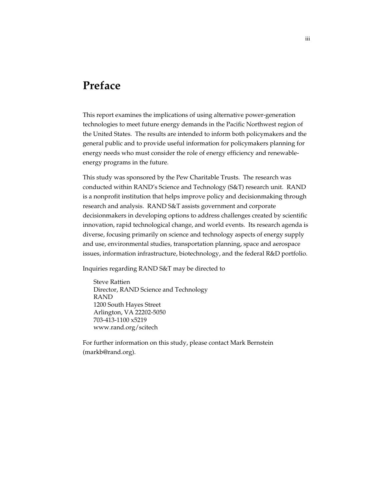## **Preface**

This report examines the implications of using alternative power-generation technologies to meet future energy demands in the Pacific Northwest region of the United States. The results are intended to inform both policymakers and the general public and to provide useful information for policymakers planning for energy needs who must consider the role of energy efficiency and renewableenergy programs in the future.

This study was sponsored by the Pew Charitable Trusts. The research was conducted within RAND's Science and Technology (S&T) research unit. RAND is a nonprofit institution that helps improve policy and decisionmaking through research and analysis. RAND S&T assists government and corporate decisionmakers in developing options to address challenges created by scientific innovation, rapid technological change, and world events. Its research agenda is diverse, focusing primarily on science and technology aspects of energy supply and use, environmental studies, transportation planning, space and aerospace issues, information infrastructure, biotechnology, and the federal R&D portfolio.

Inquiries regarding RAND S&T may be directed to

Steve Rattien Director, RAND Science and Technology RAND 1200 South Hayes Street Arlington, VA 22202-5050 703-413-1100 x5219 www.rand.org/scitech

For further information on this study, please contact Mark Bernstein (markb@rand.org).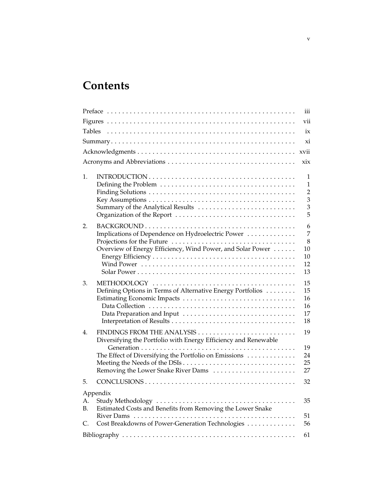## **Contents**

|                 |                                                                                                                                                                                               | iii                                                |
|-----------------|-----------------------------------------------------------------------------------------------------------------------------------------------------------------------------------------------|----------------------------------------------------|
|                 |                                                                                                                                                                                               | vii                                                |
| Tables          |                                                                                                                                                                                               | ix                                                 |
|                 |                                                                                                                                                                                               | xi                                                 |
|                 |                                                                                                                                                                                               | xvii                                               |
|                 |                                                                                                                                                                                               | xix                                                |
| 1.              | Summary of the Analytical Results<br>Organization of the Report                                                                                                                               | 1<br>$\mathbf{1}$<br>$\overline{2}$<br>3<br>3<br>5 |
| 2.              | Implications of Dependence on Hydroelectric Power<br>Overview of Energy Efficiency, Wind Power, and Solar Power                                                                               | 6<br>7<br>8<br>10<br>10<br>12<br>13                |
| 3.              | Defining Options in Terms of Alternative Energy Portfolios<br>Estimating Economic Impacts<br>Data Preparation and Input                                                                       | 15<br>15<br>16<br>16<br>17<br>18                   |
| 4.              | FINDINGS FROM THE ANALYSIS<br>Diversifying the Portfolio with Energy Efficiency and Renewable<br>The Effect of Diversifying the Portfolio on Emissions<br>Removing the Lower Snake River Dams | 19<br>19<br>24<br>25<br>27                         |
| 5.              |                                                                                                                                                                                               | 32                                                 |
| А.<br><b>B.</b> | Appendix<br>Estimated Costs and Benefits from Removing the Lower Snake                                                                                                                        | 35<br>51                                           |
| C.              | Cost Breakdowns of Power-Generation Technologies                                                                                                                                              | 56                                                 |
|                 |                                                                                                                                                                                               | 61                                                 |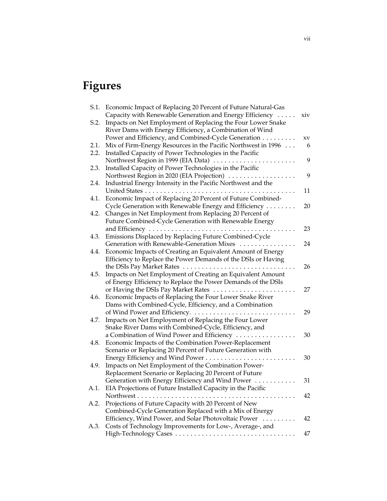# **Figures**

| S.1. | Economic Impact of Replacing 20 Percent of Future Natural-Gas       |     |
|------|---------------------------------------------------------------------|-----|
|      | Capacity with Renewable Generation and Energy Efficiency            | xiv |
| S.2. | Impacts on Net Employment of Replacing the Four Lower Snake         |     |
|      | River Dams with Energy Efficiency, a Combination of Wind            |     |
|      | Power and Efficiency, and Combined-Cycle Generation                 | XV  |
| 2.1. | Mix of Firm-Energy Resources in the Pacific Northwest in 1996       | 6   |
| 2.2. | Installed Capacity of Power Technologies in the Pacific             |     |
|      |                                                                     | 9   |
| 2.3. | Installed Capacity of Power Technologies in the Pacific             |     |
|      | Northwest Region in 2020 (EIA Projection)                           | 9   |
| 2.4. | Industrial Energy Intensity in the Pacific Northwest and the        |     |
|      |                                                                     | 11  |
| 4.1. | Economic Impact of Replacing 20 Percent of Future Combined-         |     |
|      | Cycle Generation with Renewable Energy and Efficiency<br>$\ddots$ . | 20  |
| 4.2. | Changes in Net Employment from Replacing 20 Percent of              |     |
|      | Future Combined-Cycle Generation with Renewable Energy              |     |
|      | and Efficiency                                                      | 23  |
| 4.3. | Emissions Displaced by Replacing Future Combined-Cycle              |     |
|      | Generation with Renewable-Generation Mixes                          | 24  |
| 4.4. | Economic Impacts of Creating an Equivalent Amount of Energy         |     |
|      | Efficiency to Replace the Power Demands of the DSIs or Having       |     |
|      | the DSIs Pay Market Rates                                           | 26  |
| 4.5. | Impacts on Net Employment of Creating an Equivalent Amount          |     |
|      | of Energy Efficiency to Replace the Power Demands of the DSIs       |     |
|      | or Having the DSIs Pay Market Rates                                 | 27  |
| 4.6. | Economic Impacts of Replacing the Four Lower Snake River            |     |
|      | Dams with Combined-Cycle, Efficiency, and a Combination             |     |
|      |                                                                     | 29  |
| 4.7. | Impacts on Net Employment of Replacing the Four Lower               |     |
|      | Snake River Dams with Combined-Cycle, Efficiency, and               |     |
|      | a Combination of Wind Power and Efficiency                          | 30  |
| 4.8. | Economic Impacts of the Combination Power-Replacement               |     |
|      | Scenario or Replacing 20 Percent of Future Generation with          |     |
|      |                                                                     | 30  |
| 4.9. | Impacts on Net Employment of the Combination Power-                 |     |
|      | Replacement Scenario or Replacing 20 Percent of Future              |     |
|      | Generation with Energy Efficiency and Wind Power                    | 31  |
| A.1. | EIA Projections of Future Installed Capacity in the Pacific         |     |
|      | Northwest $\dots\dots\dots\dots\dots$                               | 42  |
| A.2. | Projections of Future Capacity with 20 Percent of New               |     |
|      | Combined-Cycle Generation Replaced with a Mix of Energy             |     |
|      | Efficiency, Wind Power, and Solar Photovoltaic Power<br>.           | 42  |
| A.3. | Costs of Technology Improvements for Low-, Average-, and            |     |
|      |                                                                     | 47  |
|      |                                                                     |     |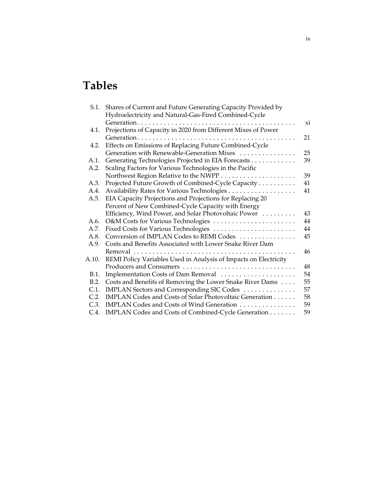## **Tables**

| S.1.  | Shares of Current and Future Generating Capacity Provided by<br>Hydroelectricity and Natural-Gas-Fired Combined-Cycle |    |
|-------|-----------------------------------------------------------------------------------------------------------------------|----|
|       | Generation                                                                                                            | хi |
| 4.1.  | Projections of Capacity in 2020 from Different Mixes of Power                                                         |    |
|       |                                                                                                                       | 21 |
| 4.2.  | Effects on Emissions of Replacing Future Combined-Cycle                                                               |    |
|       | Generation with Renewable-Generation Mixes                                                                            | 25 |
| A.1.  | Generating Technologies Projected in EIA Forecasts                                                                    | 39 |
| A.2.  | Scaling Factors for Various Technologies in the Pacific                                                               |    |
|       |                                                                                                                       | 39 |
| A.3.  | Projected Future Growth of Combined-Cycle Capacity                                                                    | 41 |
| A.4.  |                                                                                                                       | 41 |
| A.5.  | EIA Capacity Projections and Projections for Replacing 20                                                             |    |
|       | Percent of New Combined-Cycle Capacity with Energy                                                                    |    |
|       | Efficiency, Wind Power, and Solar Photovoltaic Power                                                                  | 43 |
| A.6.  | O&M Costs for Various Technologies                                                                                    | 44 |
| A.7.  | Fixed Costs for Various Technologies                                                                                  | 44 |
| A.8.  | Conversion of IMPLAN Codes to REMI Codes                                                                              | 45 |
| A.9.  | Costs and Benefits Associated with Lower Snake River Dam                                                              |    |
|       |                                                                                                                       | 46 |
| A.10. | REMI Policy Variables Used in Analysis of Impacts on Electricity                                                      |    |
|       | Producers and Consumers                                                                                               | 48 |
| B.1.  | Implementation Costs of Dam Removal                                                                                   | 54 |
| B.2.  | Costs and Benefits of Removing the Lower Snake River Dams                                                             | 55 |
| C.1.  | IMPLAN Sectors and Corresponding SIC Codes                                                                            | 57 |
| C.2.  | IMPLAN Codes and Costs of Solar Photovoltaic Generation                                                               | 58 |
| C.3.  | IMPLAN Codes and Costs of Wind Generation                                                                             | 59 |
| C.4.  | IMPLAN Codes and Costs of Combined-Cycle Generation                                                                   | 59 |
|       |                                                                                                                       |    |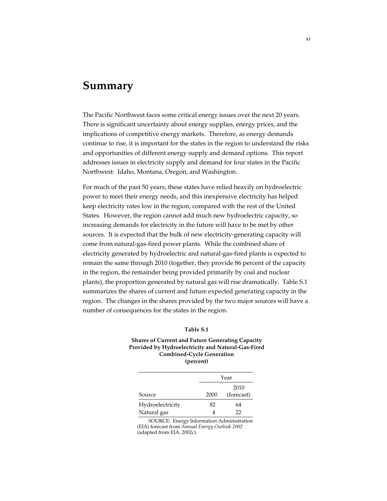## **Summary**

The Pacific Northwest faces some critical energy issues over the next 20 years. There is significant uncertainty about energy supplies, energy prices, and the implications of competitive energy markets. Therefore, as energy demands continue to rise, it is important for the states in the region to understand the risks and opportunities of different energy supply and demand options. This report addresses issues in electricity supply and demand for four states in the Pacific Northwest: Idaho, Montana, Oregon, and Washington.

For much of the past 50 years, these states have relied heavily on hydroelectric power to meet their energy needs, and this inexpensive electricity has helped keep electricity rates low in the region, compared with the rest of the United States. However, the region cannot add much new hydroelectric capacity, so increasing demands for electricity in the future will have to be met by other sources. It is expected that the bulk of new electricity-generating capacity will come from natural-gas-fired power plants. While the combined share of electricity generated by hydroelectric and natural-gas-fired plants is expected to remain the same through 2010 (together, they provide 86 percent of the capacity in the region, the remainder being provided primarily by coal and nuclear plants), the proportion generated by natural gas will rise dramatically. Table S.1 summarizes the shares of current and future expected generating capacity in the region. The changes in the shares provided by the two major sources will have a number of consequences for the states in the region.

**Table S.1**

#### **Shares of Current and Future Generating Capacity Provided by Hydroelectricity and Natural-Gas-Fired Combined-Cycle Generation (percent)**

|                  |      | Year               |  |  |
|------------------|------|--------------------|--|--|
| Source           | 2000 | 2010<br>(forecast) |  |  |
| Hydroelectricity | 82   | 64                 |  |  |
| Natural gas      |      | フフ                 |  |  |

SOURCE: Energy Information Administration (EIA) forecast from *Annual Energy Outlook 2002* (adapted from EIA, 2002c).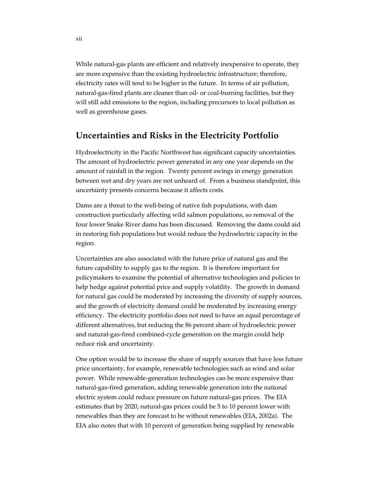While natural-gas plants are efficient and relatively inexpensive to operate, they are more expensive than the existing hydroelectric infrastructure; therefore, electricity rates will tend to be higher in the future. In terms of air pollution, natural-gas-fired plants are cleaner than oil- or coal-burning facilities, but they will still add emissions to the region, including precursors to local pollution as well as greenhouse gases.

### **Uncertainties and Risks in the Electricity Portfolio**

Hydroelectricity in the Pacific Northwest has significant capacity uncertainties. The amount of hydroelectric power generated in any one year depends on the amount of rainfall in the region. Twenty percent swings in energy generation between wet and dry years are not unheard of. From a business standpoint, this uncertainty presents concerns because it affects costs.

Dams are a threat to the well-being of native fish populations, with dam construction particularly affecting wild salmon populations, so removal of the four lower Snake River dams has been discussed. Removing the dams could aid in restoring fish populations but would reduce the hydroelectric capacity in the region.

Uncertainties are also associated with the future price of natural gas and the future capability to supply gas to the region. It is therefore important for policymakers to examine the potential of alternative technologies and policies to help hedge against potential price and supply volatility. The growth in demand for natural gas could be moderated by increasing the diversity of supply sources, and the growth of electricity demand could be moderated by increasing energy efficiency. The electricity portfolio does not need to have an equal percentage of different alternatives, but reducing the 86 percent share of hydroelectric power and natural-gas-fired combined-cycle generation on the margin could help reduce risk and uncertainty.

One option would be to increase the share of supply sources that have less future price uncertainty, for example, renewable technologies such as wind and solar power. While renewable-generation technologies can be more expensive than natural-gas-fired generation, adding renewable generation into the national electric system could reduce pressure on future natural-gas prices. The EIA estimates that by 2020, natural-gas prices could be 5 to 10 percent lower with renewables than they are forecast to be without renewables (EIA, 2002a). The EIA also notes that with 10 percent of generation being supplied by renewable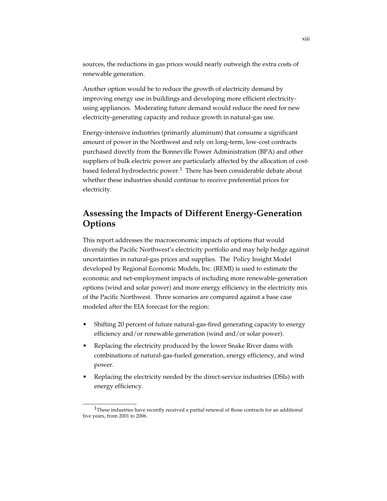sources, the reductions in gas prices would nearly outweigh the extra costs of renewable generation.

Another option would be to reduce the growth of electricity demand by improving energy use in buildings and developing more efficient electricityusing appliances. Moderating future demand would reduce the need for new electricity-generating capacity and reduce growth in natural-gas use.

Energy-intensive industries (primarily aluminum) that consume a significant amount of power in the Northwest and rely on long-term, low-cost contracts purchased directly from the Bonneville Power Administration (BPA) and other suppliers of bulk electric power are particularly affected by the allocation of costbased federal hydroelectric power.<sup>1</sup> There has been considerable debate about whether these industries should continue to receive preferential prices for electricity.

### **Assessing the Impacts of Different Energy-Generation Options**

This report addresses the macroeconomic impacts of options that would diversify the Pacific Northwest's electricity portfolio and may help hedge against uncertainties in natural-gas prices and supplies. The Policy Insight Model developed by Regional Economic Models, Inc. (REMI) is used to estimate the economic and net-employment impacts of including more renewable-generation options (wind and solar power) and more energy efficiency in the electricity mix of the Pacific Northwest. Three scenarios are compared against a base case modeled after the EIA forecast for the region:

- Shifting 20 percent of future natural-gas-fired generating capacity to energy efficiency and/or renewable generation (wind and/or solar power).
- Replacing the electricity produced by the lower Snake River dams with combinations of natural-gas-fueled generation, energy efficiency, and wind power.
- Replacing the electricity needed by the direct-service industries (DSIs) with energy efficiency.

\_\_\_\_\_\_\_\_\_\_\_\_\_\_\_\_\_

<sup>&</sup>lt;sup>1</sup>These industries have recently received a partial renewal of those contracts for an additional five years, from 2001 to 2006.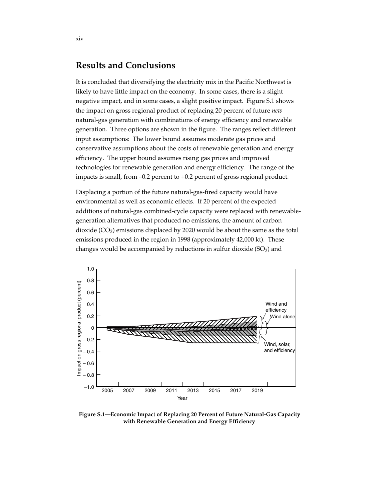### **Results and Conclusions**

It is concluded that diversifying the electricity mix in the Pacific Northwest is likely to have little impact on the economy. In some cases, there is a slight negative impact, and in some cases, a slight positive impact. Figure S.1 shows the impact on gross regional product of replacing 20 percent of future *new* natural-gas generation with combinations of energy efficiency and renewable generation. Three options are shown in the figure. The ranges reflect different input assumptions: The lower bound assumes moderate gas prices and conservative assumptions about the costs of renewable generation and energy efficiency. The upper bound assumes rising gas prices and improved technologies for renewable generation and energy efficiency. The range of the impacts is small, from –0.2 percent to +0.2 percent of gross regional product.

Displacing a portion of the future natural-gas-fired capacity would have environmental as well as economic effects. If 20 percent of the expected additions of natural-gas combined-cycle capacity were replaced with renewablegeneration alternatives that produced no emissions, the amount of carbon dioxide  $(CO<sub>2</sub>)$  emissions displaced by 2020 would be about the same as the total emissions produced in the region in 1998 (approximately 42,000 kt). These changes would be accompanied by reductions in sulfur dioxide  $(SO<sub>2</sub>)$  and



**Figure S.1—Economic Impact of Replacing 20 Percent of Future Natural-Gas Capacity with Renewable Generation and Energy Efficiency**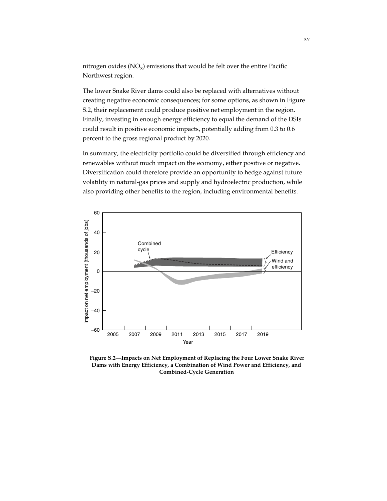nitrogen oxides  $(NO_x)$  emissions that would be felt over the entire Pacific Northwest region.

The lower Snake River dams could also be replaced with alternatives without creating negative economic consequences; for some options, as shown in Figure S.2, their replacement could produce positive net employment in the region. Finally, investing in enough energy efficiency to equal the demand of the DSIs could result in positive economic impacts, potentially adding from 0.3 to 0.6 percent to the gross regional product by 2020.

In summary, the electricity portfolio could be diversified through efficiency and renewables without much impact on the economy, either positive or negative. Diversification could therefore provide an opportunity to hedge against future volatility in natural-gas prices and supply and hydroelectric production, while also providing other benefits to the region, including environmental benefits.



**Figure S.2—Impacts on Net Employment of Replacing the Four Lower Snake River Dams with Energy Efficiency, a Combination of Wind Power and Efficiency, and Combined-Cycle Generation**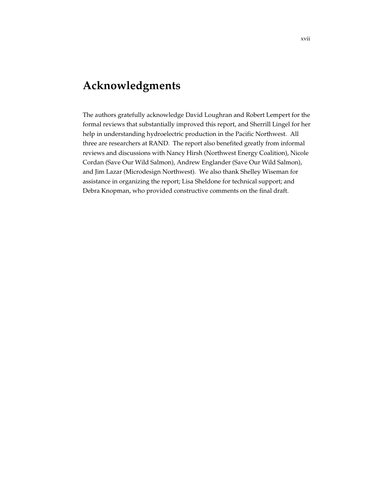## **Acknowledgments**

The authors gratefully acknowledge David Loughran and Robert Lempert for the formal reviews that substantially improved this report, and Sherrill Lingel for her help in understanding hydroelectric production in the Pacific Northwest. All three are researchers at RAND. The report also benefited greatly from informal reviews and discussions with Nancy Hirsh (Northwest Energy Coalition), Nicole Cordan (Save Our Wild Salmon), Andrew Englander (Save Our Wild Salmon), and Jim Lazar (Microdesign Northwest). We also thank Shelley Wiseman for assistance in organizing the report; Lisa Sheldone for technical support; and Debra Knopman, who provided constructive comments on the final draft.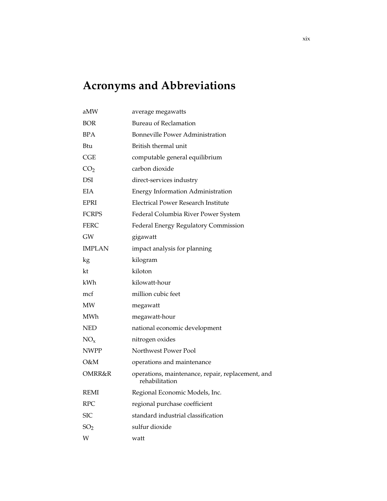# **Acronyms and Abbreviations**

| aMW               | average megawatts                                                   |
|-------------------|---------------------------------------------------------------------|
| <b>BOR</b>        | <b>Bureau of Reclamation</b>                                        |
| <b>BPA</b>        | <b>Bonneville Power Administration</b>                              |
| Btu               | British thermal unit                                                |
| CGE               | computable general equilibrium                                      |
| CO <sub>2</sub>   | carbon dioxide                                                      |
| <b>DSI</b>        | direct-services industry                                            |
| EIA.              | <b>Energy Information Administration</b>                            |
| <b>EPRI</b>       | <b>Electrical Power Research Institute</b>                          |
| <b>FCRPS</b>      | Federal Columbia River Power System                                 |
| <b>FERC</b>       | Federal Energy Regulatory Commission                                |
| GW                | gigawatt                                                            |
| <b>IMPLAN</b>     | impact analysis for planning                                        |
| kg                | kilogram                                                            |
| kt                | kiloton                                                             |
| kWh               | kilowatt-hour                                                       |
| mcf               | million cubic feet                                                  |
| MW                | megawatt                                                            |
| MWh               | megawatt-hour                                                       |
| <b>NED</b>        | national economic development                                       |
| NO <sub>x</sub>   | nitrogen oxides                                                     |
| <b>NWPP</b>       | Northwest Power Pool                                                |
| O&M               | operations and maintenance                                          |
| <b>OMRR&amp;R</b> | operations, maintenance, repair, replacement, and<br>rehabilitation |
| REMI              | Regional Economic Models, Inc.                                      |
| <b>RPC</b>        | regional purchase coefficient                                       |
| <b>SIC</b>        | standard industrial classification                                  |
| SO <sub>2</sub>   | sulfur dioxide                                                      |
| W                 | watt                                                                |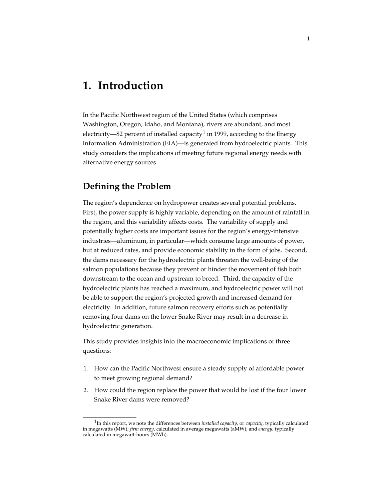### **1. Introduction**

In the Pacific Northwest region of the United States (which comprises Washington, Oregon, Idaho, and Montana), rivers are abundant, and most electricity—82 percent of installed capacity<sup>1</sup> in 1999, according to the Energy Information Administration (EIA)—is generated from hydroelectric plants. This study considers the implications of meeting future regional energy needs with alternative energy sources.

### **Defining the Problem**

\_\_\_\_\_\_\_\_\_\_\_\_\_\_\_\_\_

The region's dependence on hydropower creates several potential problems. First, the power supply is highly variable, depending on the amount of rainfall in the region, and this variability affects costs. The variability of supply and potentially higher costs are important issues for the region's energy-intensive industries—aluminum, in particular—which consume large amounts of power, but at reduced rates, and provide economic stability in the form of jobs. Second, the dams necessary for the hydroelectric plants threaten the well-being of the salmon populations because they prevent or hinder the movement of fish both downstream to the ocean and upstream to breed. Third, the capacity of the hydroelectric plants has reached a maximum, and hydroelectric power will not be able to support the region's projected growth and increased demand for electricity. In addition, future salmon recovery efforts such as potentially removing four dams on the lower Snake River may result in a decrease in hydroelectric generation.

This study provides insights into the macroeconomic implications of three questions:

- 1. How can the Pacific Northwest ensure a steady supply of affordable power to meet growing regional demand?
- 2. How could the region replace the power that would be lost if the four lower Snake River dams were removed?

<sup>1</sup>In this report, we note the differences between *installed capacity,* or *capacity,* typically calculated in megawatts (MW); *firm energy,* calculated in average megawatts (aMW); and *energy,* typically calculated in megawatt-hours (MWh).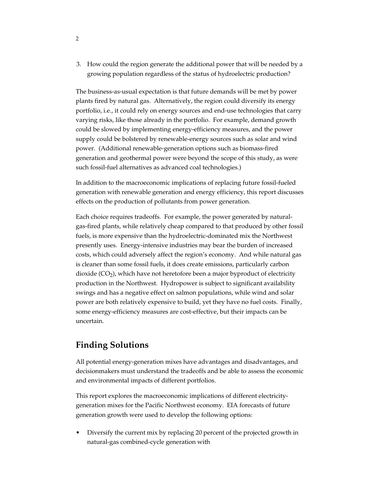3. How could the region generate the additional power that will be needed by a growing population regardless of the status of hydroelectric production?

The business-as-usual expectation is that future demands will be met by power plants fired by natural gas. Alternatively, the region could diversify its energy portfolio, i.e., it could rely on energy sources and end-use technologies that carry varying risks, like those already in the portfolio. For example, demand growth could be slowed by implementing energy-efficiency measures, and the power supply could be bolstered by renewable-energy sources such as solar and wind power. (Additional renewable-generation options such as biomass-fired generation and geothermal power were beyond the scope of this study, as were such fossil-fuel alternatives as advanced coal technologies.)

In addition to the macroeconomic implications of replacing future fossil-fueled generation with renewable generation and energy efficiency, this report discusses effects on the production of pollutants from power generation.

Each choice requires tradeoffs. For example, the power generated by naturalgas-fired plants, while relatively cheap compared to that produced by other fossil fuels, is more expensive than the hydroelectric-dominated mix the Northwest presently uses. Energy-intensive industries may bear the burden of increased costs, which could adversely affect the region's economy. And while natural gas is cleaner than some fossil fuels, it does create emissions, particularly carbon dioxide  $(CO<sub>2</sub>)$ , which have not heretofore been a major byproduct of electricity production in the Northwest. Hydropower is subject to significant availability swings and has a negative effect on salmon populations, while wind and solar power are both relatively expensive to build, yet they have no fuel costs. Finally, some energy-efficiency measures are cost-effective, but their impacts can be uncertain.

### **Finding Solutions**

All potential energy-generation mixes have advantages and disadvantages, and decisionmakers must understand the tradeoffs and be able to assess the economic and environmental impacts of different portfolios.

This report explores the macroeconomic implications of different electricitygeneration mixes for the Pacific Northwest economy. EIA forecasts of future generation growth were used to develop the following options:

• Diversify the current mix by replacing 20 percent of the projected growth in natural-gas combined-cycle generation with

2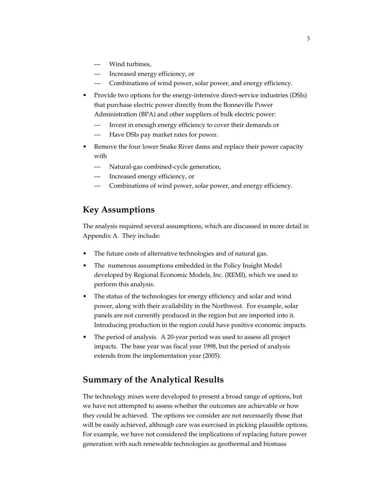- Wind turbines,
- Increased energy efficiency, or
- Combinations of wind power, solar power, and energy efficiency.
- Provide two options for the energy-intensive direct-service industries (DSIs) that purchase electric power directly from the Bonneville Power Administration (BPA) and other suppliers of bulk electric power:
	- Invest in enough energy efficiency to cover their demands or
	- Have DSIs pay market rates for power.
- Remove the four lower Snake River dams and replace their power capacity with
	- Natural-gas combined-cycle generation,
	- Increased energy efficiency, or
	- Combinations of wind power, solar power, and energy efficiency.

### **Key Assumptions**

The analysis required several assumptions, which are discussed in more detail in Appendix A. They include:

- The future costs of alternative technologies and of natural gas.
- The numerous assumptions embedded in the Policy Insight Model developed by Regional Economic Models, Inc. (REMI), which we used to perform this analysis.
- The status of the technologies for energy efficiency and solar and wind power, along with their availability in the Northwest. For example, solar panels are not currently produced in the region but are imported into it. Introducing production in the region could have positive economic impacts.
- The period of analysis. A 20-year period was used to assess all project impacts. The base year was fiscal year 1998, but the period of analysis extends from the implementation year (2005).

### **Summary of the Analytical Results**

The technology mixes were developed to present a broad range of options, but we have not attempted to assess whether the outcomes are achievable or how they could be achieved. The options we consider are not necessarily those that will be easily achieved, although care was exercised in picking plausible options. For example, we have not considered the implications of replacing future power generation with such renewable technologies as geothermal and biomass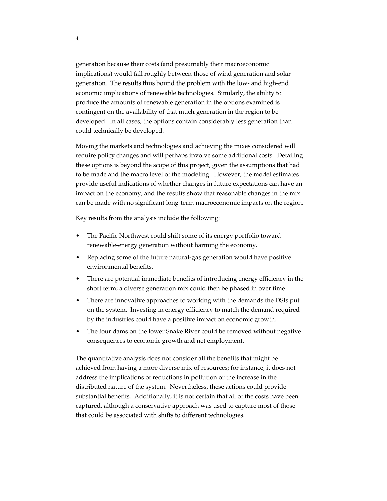generation because their costs (and presumably their macroeconomic implications) would fall roughly between those of wind generation and solar generation. The results thus bound the problem with the low- and high-end economic implications of renewable technologies. Similarly, the ability to produce the amounts of renewable generation in the options examined is contingent on the availability of that much generation in the region to be developed. In all cases, the options contain considerably less generation than could technically be developed.

Moving the markets and technologies and achieving the mixes considered will require policy changes and will perhaps involve some additional costs. Detailing these options is beyond the scope of this project, given the assumptions that had to be made and the macro level of the modeling. However, the model estimates provide useful indications of whether changes in future expectations can have an impact on the economy, and the results show that reasonable changes in the mix can be made with no significant long-term macroeconomic impacts on the region.

Key results from the analysis include the following:

- The Pacific Northwest could shift some of its energy portfolio toward renewable-energy generation without harming the economy.
- Replacing some of the future natural-gas generation would have positive environmental benefits.
- There are potential immediate benefits of introducing energy efficiency in the short term; a diverse generation mix could then be phased in over time.
- There are innovative approaches to working with the demands the DSIs put on the system. Investing in energy efficiency to match the demand required by the industries could have a positive impact on economic growth.
- The four dams on the lower Snake River could be removed without negative consequences to economic growth and net employment.

The quantitative analysis does not consider all the benefits that might be achieved from having a more diverse mix of resources; for instance, it does not address the implications of reductions in pollution or the increase in the distributed nature of the system. Nevertheless, these actions could provide substantial benefits. Additionally, it is not certain that all of the costs have been captured, although a conservative approach was used to capture most of those that could be associated with shifts to different technologies.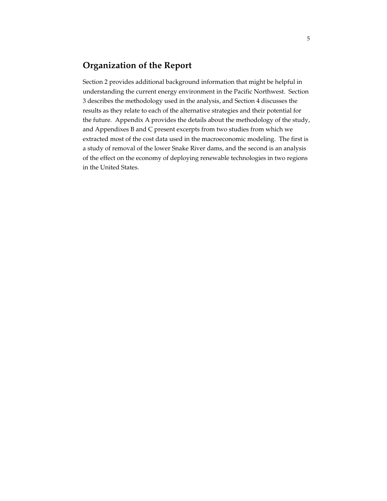### **Organization of the Report**

Section 2 provides additional background information that might be helpful in understanding the current energy environment in the Pacific Northwest. Section 3 describes the methodology used in the analysis, and Section 4 discusses the results as they relate to each of the alternative strategies and their potential for the future. Appendix A provides the details about the methodology of the study, and Appendixes B and C present excerpts from two studies from which we extracted most of the cost data used in the macroeconomic modeling. The first is a study of removal of the lower Snake River dams, and the second is an analysis of the effect on the economy of deploying renewable technologies in two regions in the United States.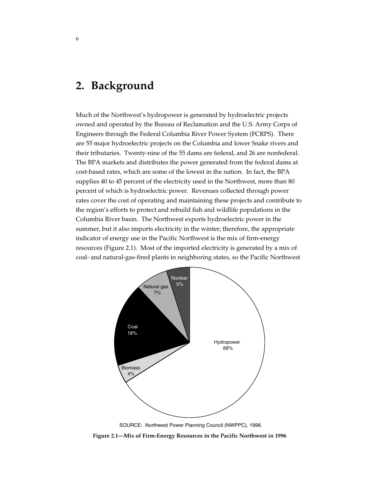### **2. Background**

Much of the Northwest's hydropower is generated by hydroelectric projects owned and operated by the Bureau of Reclamation and the U.S. Army Corps of Engineers through the Federal Columbia River Power System (FCRPS). There are 55 major hydroelectric projects on the Columbia and lower Snake rivers and their tributaries. Twenty-nine of the 55 dams are federal, and 26 are nonfederal. The BPA markets and distributes the power generated from the federal dams at cost-based rates, which are some of the lowest in the nation. In fact, the BPA supplies 40 to 45 percent of the electricity used in the Northwest, more than 80 percent of which is hydroelectric power. Revenues collected through power rates cover the cost of operating and maintaining these projects and contribute to the region's efforts to protect and rebuild fish and wildlife populations in the Columbia River basin. The Northwest exports hydroelectric power in the summer, but it also imports electricity in the winter; therefore, the appropriate indicator of energy use in the Pacific Northwest is the mix of firm-energy resources (Figure 2.1). Most of the imported electricity is generated by a mix of coal- and natural-gas-fired plants in neighboring states, so the Pacific Northwest



SOURCE: Northwest Power Planning Council (NWPPC), 1998.

**Figure 2.1—Mix of Firm-Energy Resources in the Pacific Northwest in 1996**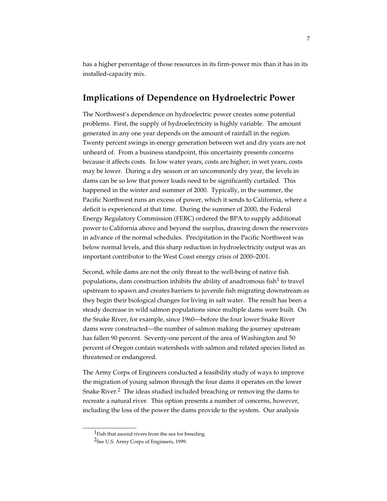has a higher percentage of those resources in its firm-power mix than it has in its installed-capacity mix.

### **Implications of Dependence on Hydroelectric Power**

The Northwest's dependence on hydroelectric power creates some potential problems. First, the supply of hydroelectricity is highly variable. The amount generated in any one year depends on the amount of rainfall in the region. Twenty percent swings in energy generation between wet and dry years are not unheard of. From a business standpoint, this uncertainty presents concerns because it affects costs. In low water years, costs are higher; in wet years, costs may be lower. During a dry season or an uncommonly dry year, the levels in dams can be so low that power loads need to be significantly curtailed. This happened in the winter and summer of 2000. Typically, in the summer, the Pacific Northwest runs an excess of power, which it sends to California, where a deficit is experienced at that time. During the summer of 2000, the Federal Energy Regulatory Commission (FERC) ordered the BPA to supply additional power to California above and beyond the surplus, drawing down the reservoirs in advance of the normal schedules. Precipitation in the Pacific Northwest was below normal levels, and this sharp reduction in hydroelectricity output was an important contributor to the West Coast energy crisis of 2000–2001.

Second, while dams are not the only threat to the well-being of native fish populations, dam construction inhibits the ability of anadromous fish<sup>1</sup> to travel upstream to spawn and creates barriers to juvenile fish migrating downstream as they begin their biological changes for living in salt water. The result has been a steady decrease in wild salmon populations since multiple dams were built. On the Snake River, for example, since 1960—before the four lower Snake River dams were constructed—the number of salmon making the journey upstream has fallen 90 percent. Seventy-one percent of the area of Washington and 50 percent of Oregon contain watersheds with salmon and related species listed as threatened or endangered.

The Army Corps of Engineers conducted a feasibility study of ways to improve the migration of young salmon through the four dams it operates on the lower Snake River.2 The ideas studied included breaching or removing the dams to recreate a natural river. This option presents a number of concerns, however, including the loss of the power the dams provide to the system. Our analysis

 $\overline{\phantom{a}}$  , where the contract of the contract of  $\overline{\phantom{a}}$ 

 $1$ Fish that ascend rivers from the sea for breeding.

<sup>&</sup>lt;sup>2</sup>See U.S. Army Corps of Engineers, 1999.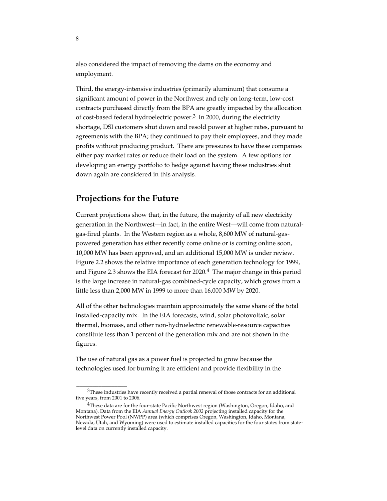also considered the impact of removing the dams on the economy and employment.

Third, the energy-intensive industries (primarily aluminum) that consume a significant amount of power in the Northwest and rely on long-term, low-cost contracts purchased directly from the BPA are greatly impacted by the allocation of cost-based federal hydroelectric power.<sup>3</sup> In 2000, during the electricity shortage, DSI customers shut down and resold power at higher rates, pursuant to agreements with the BPA; they continued to pay their employees, and they made profits without producing product. There are pressures to have these companies either pay market rates or reduce their load on the system. A few options for developing an energy portfolio to hedge against having these industries shut down again are considered in this analysis.

### **Projections for the Future**

\_\_\_\_\_\_\_\_\_\_\_\_\_\_\_\_

Current projections show that, in the future, the majority of all new electricity generation in the Northwest—in fact, in the entire West—will come from naturalgas-fired plants. In the Western region as a whole, 8,600 MW of natural-gaspowered generation has either recently come online or is coming online soon, 10,000 MW has been approved, and an additional 15,000 MW is under review. Figure 2.2 shows the relative importance of each generation technology for 1999, and Figure 2.3 shows the EIA forecast for  $2020<sup>4</sup>$ . The major change in this period is the large increase in natural-gas combined-cycle capacity, which grows from a little less than 2,000 MW in 1999 to more than 16,000 MW by 2020.

All of the other technologies maintain approximately the same share of the total installed-capacity mix. In the EIA forecasts, wind, solar photovoltaic, solar thermal, biomass, and other non-hydroelectric renewable-resource capacities constitute less than 1 percent of the generation mix and are not shown in the figures.

The use of natural gas as a power fuel is projected to grow because the technologies used for burning it are efficient and provide flexibility in the

 $3$ These industries have recently received a partial renewal of those contracts for an additional five years, from 2001 to 2006.

<sup>&</sup>lt;sup>4</sup>These data are for the four-state Pacific Northwest region (Washington, Oregon, Idaho, and Montana). Data from the EIA *Annual Energy Outlook 2002* projecting installed capacity for the Northwest Power Pool (NWPP) area (which comprises Oregon, Washington, Idaho, Montana, Nevada, Utah, and Wyoming) were used to estimate installed capacities for the four states from statelevel data on currently installed capacity.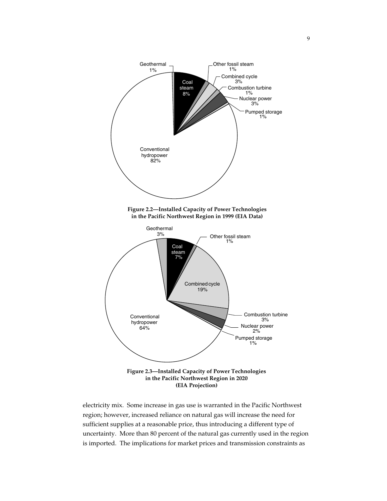

electricity mix. Some increase in gas use is warranted in the Pacific Northwest region; however, increased reliance on natural gas will increase the need for sufficient supplies at a reasonable price, thus introducing a different type of uncertainty. More than 80 percent of the natural gas currently used in the region is imported. The implications for market prices and transmission constraints as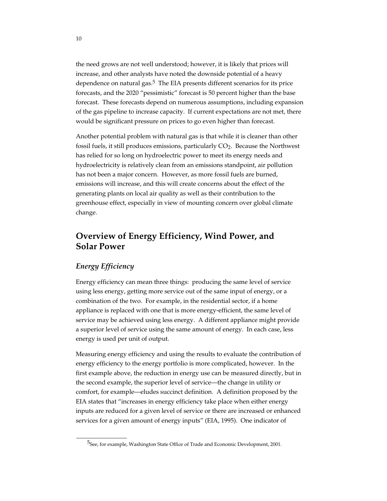the need grows are not well understood; however, it is likely that prices will increase, and other analysts have noted the downside potential of a heavy dependence on natural gas.<sup>5</sup> The EIA presents different scenarios for its price forecasts, and the 2020 "pessimistic" forecast is 50 percent higher than the base forecast. These forecasts depend on numerous assumptions, including expansion of the gas pipeline to increase capacity. If current expectations are not met, there would be significant pressure on prices to go even higher than forecast.

Another potential problem with natural gas is that while it is cleaner than other fossil fuels, it still produces emissions, particularly  $CO<sub>2</sub>$ . Because the Northwest has relied for so long on hydroelectric power to meet its energy needs and hydroelectricity is relatively clean from an emissions standpoint, air pollution has not been a major concern. However, as more fossil fuels are burned, emissions will increase, and this will create concerns about the effect of the generating plants on local air quality as well as their contribution to the greenhouse effect, especially in view of mounting concern over global climate change.

### **Overview of Energy Efficiency, Wind Power, and Solar Power**

#### *Energy Efficiency*

\_\_\_\_\_\_\_\_\_\_\_\_\_\_\_\_

Energy efficiency can mean three things: producing the same level of service using less energy, getting more service out of the same input of energy, or a combination of the two. For example, in the residential sector, if a home appliance is replaced with one that is more energy-efficient, the same level of service may be achieved using less energy. A different appliance might provide a superior level of service using the same amount of energy. In each case, less energy is used per unit of output.

Measuring energy efficiency and using the results to evaluate the contribution of energy efficiency to the energy portfolio is more complicated, however. In the first example above, the reduction in energy use can be measured directly, but in the second example, the superior level of service—the change in utility or comfort, for example—eludes succinct definition. A definition proposed by the EIA states that "increases in energy efficiency take place when either energy inputs are reduced for a given level of service or there are increased or enhanced services for a given amount of energy inputs" (EIA, 1995). One indicator of

<sup>&</sup>lt;sup>5</sup>See, for example, Washington State Office of Trade and Economic Development, 2001.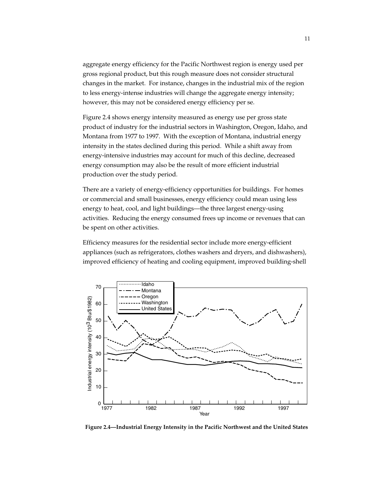aggregate energy efficiency for the Pacific Northwest region is energy used per gross regional product, but this rough measure does not consider structural changes in the market. For instance, changes in the industrial mix of the region to less energy-intense industries will change the aggregate energy intensity; however, this may not be considered energy efficiency per se.

Figure 2.4 shows energy intensity measured as energy use per gross state product of industry for the industrial sectors in Washington, Oregon, Idaho, and Montana from 1977 to 1997. With the exception of Montana, industrial energy intensity in the states declined during this period. While a shift away from energy-intensive industries may account for much of this decline, decreased energy consumption may also be the result of more efficient industrial production over the study period.

There are a variety of energy-efficiency opportunities for buildings. For homes or commercial and small businesses, energy efficiency could mean using less energy to heat, cool, and light buildings—the three largest energy-using activities. Reducing the energy consumed frees up income or revenues that can be spent on other activities.

Efficiency measures for the residential sector include more energy-efficient appliances (such as refrigerators, clothes washers and dryers, and dishwashers), improved efficiency of heating and cooling equipment, improved building-shell



**Figure 2.4—Industrial Energy Intensity in the Pacific Northwest and the United States**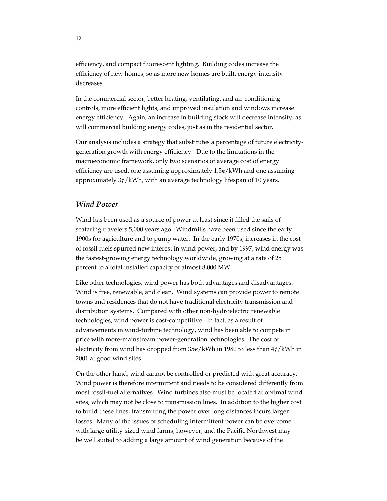efficiency, and compact fluorescent lighting. Building codes increase the efficiency of new homes, so as more new homes are built, energy intensity decreases.

In the commercial sector, better heating, ventilating, and air-conditioning controls, more efficient lights, and improved insulation and windows increase energy efficiency. Again, an increase in building stock will decrease intensity, as will commercial building energy codes, just as in the residential sector.

Our analysis includes a strategy that substitutes a percentage of future electricitygeneration growth with energy efficiency. Due to the limitations in the macroeconomic framework, only two scenarios of average cost of energy efficiency are used, one assuming approximately 1.5¢/kWh and one assuming approximately  $3¢$ /kWh, with an average technology lifespan of 10 years.

#### *Wind Power*

Wind has been used as a source of power at least since it filled the sails of seafaring travelers 5,000 years ago. Windmills have been used since the early 1900s for agriculture and to pump water. In the early 1970s, increases in the cost of fossil fuels spurred new interest in wind power, and by 1997, wind energy was the fastest-growing energy technology worldwide, growing at a rate of 25 percent to a total installed capacity of almost 8,000 MW.

Like other technologies, wind power has both advantages and disadvantages. Wind is free, renewable, and clean. Wind systems can provide power to remote towns and residences that do not have traditional electricity transmission and distribution systems. Compared with other non-hydroelectric renewable technologies, wind power is cost-competitive. In fact, as a result of advancements in wind-turbine technology, wind has been able to compete in price with more-mainstream power-generation technologies. The cost of electricity from wind has dropped from  $35¢/kWh$  in 1980 to less than  $4¢/kWh$  in 2001 at good wind sites.

On the other hand, wind cannot be controlled or predicted with great accuracy. Wind power is therefore intermittent and needs to be considered differently from most fossil-fuel alternatives. Wind turbines also must be located at optimal wind sites, which may not be close to transmission lines. In addition to the higher cost to build these lines, transmitting the power over long distances incurs larger losses. Many of the issues of scheduling intermittent power can be overcome with large utility-sized wind farms, however, and the Pacific Northwest may be well suited to adding a large amount of wind generation because of the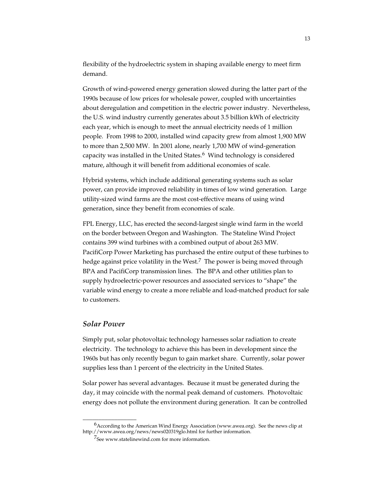flexibility of the hydroelectric system in shaping available energy to meet firm demand.

Growth of wind-powered energy generation slowed during the latter part of the 1990s because of low prices for wholesale power, coupled with uncertainties about deregulation and competition in the electric power industry. Nevertheless, the U.S. wind industry currently generates about 3.5 billion kWh of electricity each year, which is enough to meet the annual electricity needs of 1 million people. From 1998 to 2000, installed wind capacity grew from almost 1,900 MW to more than 2,500 MW. In 2001 alone, nearly 1,700 MW of wind-generation capacity was installed in the United States.6 Wind technology is considered mature, although it will benefit from additional economies of scale.

Hybrid systems, which include additional generating systems such as solar power, can provide improved reliability in times of low wind generation. Large utility-sized wind farms are the most cost-effective means of using wind generation, since they benefit from economies of scale.

FPL Energy, LLC, has erected the second-largest single wind farm in the world on the border between Oregon and Washington. The Stateline Wind Project contains 399 wind turbines with a combined output of about 263 MW. PacifiCorp Power Marketing has purchased the entire output of these turbines to hedge against price volatility in the West.<sup>7</sup> The power is being moved through BPA and PacifiCorp transmission lines. The BPA and other utilities plan to supply hydroelectric-power resources and associated services to "shape" the variable wind energy to create a more reliable and load-matched product for sale to customers.

#### *Solar Power*

\_\_\_\_\_\_\_\_\_\_\_\_\_\_\_\_\_

Simply put, solar photovoltaic technology harnesses solar radiation to create electricity. The technology to achieve this has been in development since the 1960s but has only recently begun to gain market share. Currently, solar power supplies less than 1 percent of the electricity in the United States.

Solar power has several advantages. Because it must be generated during the day, it may coincide with the normal peak demand of customers. Photovoltaic energy does not pollute the environment during generation. It can be controlled

 $6$ According to the American Wind Energy Association (www.awea.org). See the news clip at http://www.awea.org/news/news020319glo.html for further information.

<sup>7</sup>See www.statelinewind.com for more information.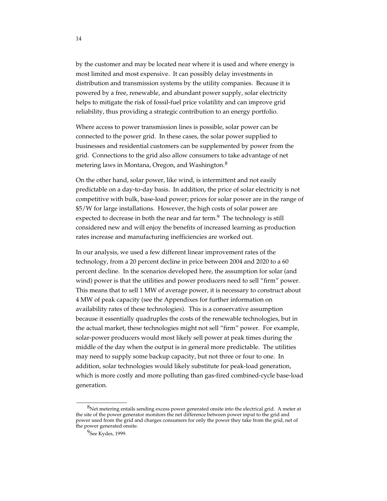by the customer and may be located near where it is used and where energy is most limited and most expensive. It can possibly delay investments in distribution and transmission systems by the utility companies. Because it is powered by a free, renewable, and abundant power supply, solar electricity helps to mitigate the risk of fossil-fuel price volatility and can improve grid reliability, thus providing a strategic contribution to an energy portfolio.

Where access to power transmission lines is possible, solar power can be connected to the power grid. In these cases, the solar power supplied to businesses and residential customers can be supplemented by power from the grid. Connections to the grid also allow consumers to take advantage of net metering laws in Montana, Oregon, and Washington.<sup>8</sup>

On the other hand, solar power, like wind, is intermittent and not easily predictable on a day-to-day basis. In addition, the price of solar electricity is not competitive with bulk, base-load power; prices for solar power are in the range of \$5/W for large installations. However, the high costs of solar power are expected to decrease in both the near and far term. $9$  The technology is still considered new and will enjoy the benefits of increased learning as production rates increase and manufacturing inefficiencies are worked out.

In our analysis, we used a few different linear improvement rates of the technology, from a 20 percent decline in price between 2004 and 2020 to a 60 percent decline. In the scenarios developed here, the assumption for solar (and wind) power is that the utilities and power producers need to sell "firm" power. This means that to sell 1 MW of average power, it is necessary to construct about 4 MW of peak capacity (see the Appendixes for further information on availability rates of these technologies). This is a conservative assumption because it essentially quadruples the costs of the renewable technologies, but in the actual market, these technologies might not sell "firm" power. For example, solar-power producers would most likely sell power at peak times during the middle of the day when the output is in general more predictable. The utilities may need to supply some backup capacity, but not three or four to one. In addition, solar technologies would likely substitute for peak-load generation, which is more costly and more polluting than gas-fired combined-cycle base-load generation.

\_\_\_\_\_\_\_\_\_\_\_\_\_\_\_\_

 $8$ Net metering entails sending excess power generated onsite into the electrical grid. A meter at the site of the power generator monitors the net difference between power input to the grid and power used from the grid and charges consumers for only the power they take from the grid, net of the power generated onsite.

<sup>9</sup>See Kydes, 1999.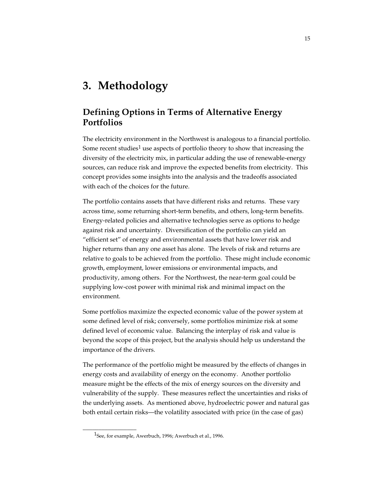### **3. Methodology**

### **Defining Options in Terms of Alternative Energy Portfolios**

The electricity environment in the Northwest is analogous to a financial portfolio. Some recent studies<sup>1</sup> use aspects of portfolio theory to show that increasing the diversity of the electricity mix, in particular adding the use of renewable-energy sources, can reduce risk and improve the expected benefits from electricity. This concept provides some insights into the analysis and the tradeoffs associated with each of the choices for the future.

The portfolio contains assets that have different risks and returns. These vary across time, some returning short-term benefits, and others, long-term benefits. Energy-related policies and alternative technologies serve as options to hedge against risk and uncertainty. Diversification of the portfolio can yield an "efficient set" of energy and environmental assets that have lower risk and higher returns than any one asset has alone. The levels of risk and returns are relative to goals to be achieved from the portfolio. These might include economic growth, employment, lower emissions or environmental impacts, and productivity, among others. For the Northwest, the near-term goal could be supplying low-cost power with minimal risk and minimal impact on the environment.

Some portfolios maximize the expected economic value of the power system at some defined level of risk; conversely, some portfolios minimize risk at some defined level of economic value. Balancing the interplay of risk and value is beyond the scope of this project, but the analysis should help us understand the importance of the drivers.

The performance of the portfolio might be measured by the effects of changes in energy costs and availability of energy on the economy. Another portfolio measure might be the effects of the mix of energy sources on the diversity and vulnerability of the supply. These measures reflect the uncertainties and risks of the underlying assets. As mentioned above, hydroelectric power and natural gas both entail certain risks—the volatility associated with price (in the case of gas)

 $\overline{\phantom{a}}$  , where the contract of the contract of  $\overline{\phantom{a}}$ 

<sup>&</sup>lt;sup>1</sup>See, for example, Awerbuch, 1996; Awerbuch et al., 1996.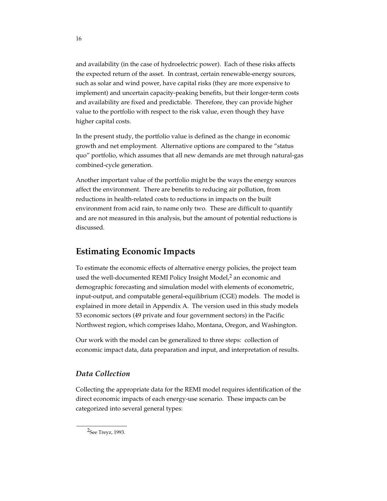and availability (in the case of hydroelectric power). Each of these risks affects the expected return of the asset. In contrast, certain renewable-energy sources, such as solar and wind power, have capital risks (they are more expensive to implement) and uncertain capacity-peaking benefits, but their longer-term costs and availability are fixed and predictable. Therefore, they can provide higher value to the portfolio with respect to the risk value, even though they have higher capital costs.

In the present study, the portfolio value is defined as the change in economic growth and net employment. Alternative options are compared to the "status quo" portfolio, which assumes that all new demands are met through natural-gas combined-cycle generation.

Another important value of the portfolio might be the ways the energy sources affect the environment. There are benefits to reducing air pollution, from reductions in health-related costs to reductions in impacts on the built environment from acid rain, to name only two. These are difficult to quantify and are not measured in this analysis, but the amount of potential reductions is discussed.

### **Estimating Economic Impacts**

To estimate the economic effects of alternative energy policies, the project team used the well-documented REMI Policy Insight Model,<sup>2</sup> an economic and demographic forecasting and simulation model with elements of econometric, input-output, and computable general-equilibrium (CGE) models. The model is explained in more detail in Appendix A. The version used in this study models 53 economic sectors (49 private and four government sectors) in the Pacific Northwest region, which comprises Idaho, Montana, Oregon, and Washington.

Our work with the model can be generalized to three steps: collection of economic impact data, data preparation and input, and interpretation of results.

### *Data Collection*

Collecting the appropriate data for the REMI model requires identification of the direct economic impacts of each energy-use scenario. These impacts can be categorized into several general types: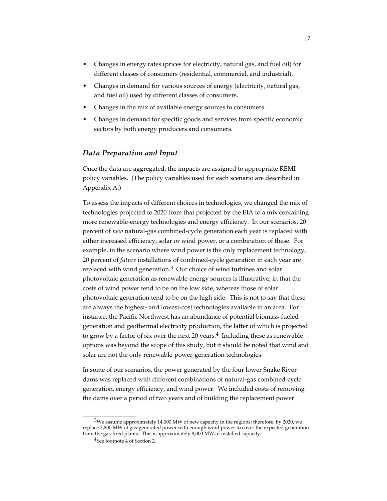- Changes in energy rates (prices for electricity, natural gas, and fuel oil) for different classes of consumers (residential, commercial, and industrial).
- Changes in demand for various sources of energy (electricity, natural gas, and fuel oil) used by different classes of consumers.
- Changes in the mix of available energy sources to consumers.
- Changes in demand for specific goods and services from specific economic sectors by both energy producers and consumers.

### *Data Preparation and Input*

Once the data are aggregated, the impacts are assigned to appropriate REMI policy variables. (The policy variables used for each scenario are described in Appendix A.)

To assess the impacts of different choices in technologies, we changed the mix of technologies projected to 2020 from that projected by the EIA to a mix containing more renewable-energy technologies and energy efficiency. In our scenarios, 20 percent of *new* natural-gas combined-cycle generation each year is replaced with either increased efficiency, solar or wind power, or a combination of these. For example, in the scenario where wind power is the only replacement technology, 20 percent of *future* installations of combined-cycle generation in each year are replaced with wind generation. $3$  Our choice of wind turbines and solar photovoltaic generation as renewable-energy sources is illustrative, in that the costs of wind power tend to be on the low side, whereas those of solar photovoltaic generation tend to be on the high side. This is not to say that these are always the highest- and lowest-cost technologies available in an area. For instance, the Pacific Northwest has an abundance of potential biomass-fueled generation and geothermal electricity production, the latter of which is projected to grow by a factor of six over the next 20 years.<sup>4</sup> Including these as renewable options was beyond the scope of this study, but it should be noted that wind and solar are not the only renewable-power-generation technologies.

In some of our scenarios, the power generated by the four lower Snake River dams was replaced with different combinations of natural-gas combined-cycle generation, energy efficiency, and wind power. We included costs of removing the dams over a period of two years and of building the replacement power

 $\overline{\phantom{a}}$  , where the contract of the contract of  $\overline{\phantom{a}}$ 

 $3$ We assume approximately 14,000 MW of new capacity in the regions; therefore, by 2020, we replace 2,800 MW of gas-generated power with enough wind power to cover the expected generation from the gas-fired plants. This is approximately 8,000 MW of installed capacity.

<sup>4</sup>See footnote 4 of Section 2.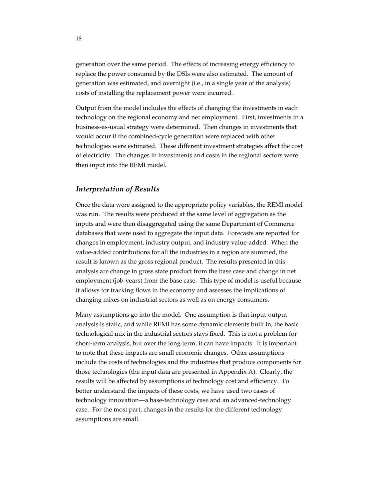generation over the same period. The effects of increasing energy efficiency to replace the power consumed by the DSIs were also estimated. The amount of generation was estimated, and overnight (i.e., in a single year of the analysis) costs of installing the replacement power were incurred.

Output from the model includes the effects of changing the investments in each technology on the regional economy and net employment. First, investments in a business-as-usual strategy were determined. Then changes in investments that would occur if the combined-cycle generation were replaced with other technologies were estimated. These different investment strategies affect the cost of electricity. The changes in investments and costs in the regional sectors were then input into the REMI model.

#### *Interpretation of Results*

Once the data were assigned to the appropriate policy variables, the REMI model was run. The results were produced at the same level of aggregation as the inputs and were then disaggregated using the same Department of Commerce databases that were used to aggregate the input data. Forecasts are reported for changes in employment, industry output, and industry value-added. When the value-added contributions for all the industries in a region are summed, the result is known as the gross regional product. The results presented in this analysis are change in gross state product from the base case and change in net employment (job-years) from the base case. This type of model is useful because it allows for tracking flows in the economy and assesses the implications of changing mixes on industrial sectors as well as on energy consumers.

Many assumptions go into the model. One assumption is that input-output analysis is static, and while REMI has some dynamic elements built in, the basic technological mix in the industrial sectors stays fixed. This is not a problem for short-term analysis, but over the long term, it can have impacts. It is important to note that these impacts are small economic changes. Other assumptions include the costs of technologies and the industries that produce components for those technologies (the input data are presented in Appendix A). Clearly, the results will be affected by assumptions of technology cost and efficiency. To better understand the impacts of these costs, we have used two cases of technology innovation—a base-technology case and an advanced-technology case. For the most part, changes in the results for the different technology assumptions are small.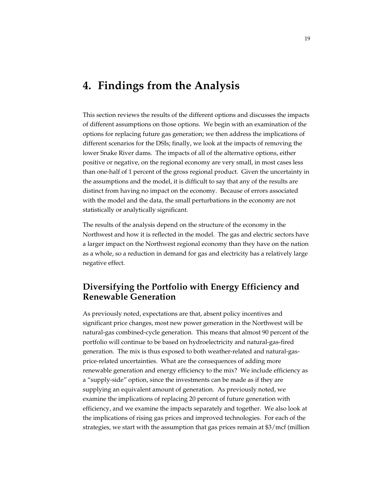### **4. Findings from the Analysis**

This section reviews the results of the different options and discusses the impacts of different assumptions on those options. We begin with an examination of the options for replacing future gas generation; we then address the implications of different scenarios for the DSIs; finally, we look at the impacts of removing the lower Snake River dams. The impacts of all of the alternative options, either positive or negative, on the regional economy are very small, in most cases less than one-half of 1 percent of the gross regional product. Given the uncertainty in the assumptions and the model, it is difficult to say that any of the results are distinct from having no impact on the economy. Because of errors associated with the model and the data, the small perturbations in the economy are not statistically or analytically significant.

The results of the analysis depend on the structure of the economy in the Northwest and how it is reflected in the model. The gas and electric sectors have a larger impact on the Northwest regional economy than they have on the nation as a whole, so a reduction in demand for gas and electricity has a relatively large negative effect.

### **Diversifying the Portfolio with Energy Efficiency and Renewable Generation**

As previously noted, expectations are that, absent policy incentives and significant price changes, most new power generation in the Northwest will be natural-gas combined-cycle generation. This means that almost 90 percent of the portfolio will continue to be based on hydroelectricity and natural-gas-fired generation. The mix is thus exposed to both weather-related and natural-gasprice-related uncertainties. What are the consequences of adding more renewable generation and energy efficiency to the mix? We include efficiency as a "supply-side" option, since the investments can be made as if they are supplying an equivalent amount of generation. As previously noted, we examine the implications of replacing 20 percent of future generation with efficiency, and we examine the impacts separately and together. We also look at the implications of rising gas prices and improved technologies. For each of the strategies, we start with the assumption that gas prices remain at \$3/mcf (million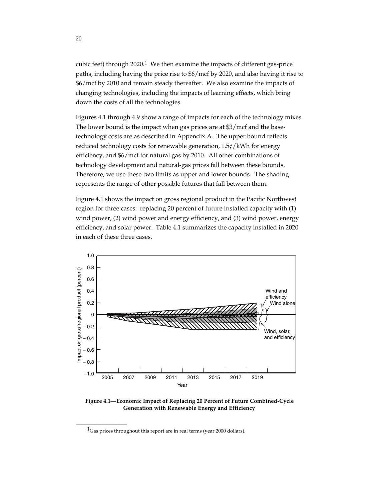cubic feet) through  $2020$ .<sup>1</sup> We then examine the impacts of different gas-price paths, including having the price rise to \$6/mcf by 2020, and also having it rise to \$6/mcf by 2010 and remain steady thereafter. We also examine the impacts of changing technologies, including the impacts of learning effects, which bring down the costs of all the technologies.

Figures 4.1 through 4.9 show a range of impacts for each of the technology mixes. The lower bound is the impact when gas prices are at \$3/mcf and the basetechnology costs are as described in Appendix A. The upper bound reflects reduced technology costs for renewable generation, 1.5¢/kWh for energy efficiency, and \$6/mcf for natural gas by 2010. All other combinations of technology development and natural-gas prices fall between these bounds. Therefore, we use these two limits as upper and lower bounds. The shading represents the range of other possible futures that fall between them.

Figure 4.1 shows the impact on gross regional product in the Pacific Northwest region for three cases: replacing 20 percent of future installed capacity with (1) wind power, (2) wind power and energy efficiency, and (3) wind power, energy efficiency, and solar power. Table 4.1 summarizes the capacity installed in 2020 in each of these three cases.



**Figure 4.1—Economic Impact of Replacing 20 Percent of Future Combined-Cycle Generation with Renewable Energy and Efficiency**

\_\_\_\_\_\_\_\_\_\_\_\_\_\_\_\_

 $1$ Gas prices throughout this report are in real terms (year 2000 dollars).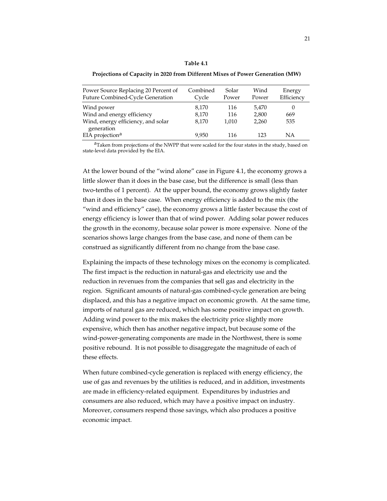#### **Table 4.1**

| Power Source Replacing 20 Percent of<br>Future Combined-Cycle Generation | Combined<br>Cycle | Solar<br>Power | Wind<br>Power | Energy<br>Efficiency |
|--------------------------------------------------------------------------|-------------------|----------------|---------------|----------------------|
| Wind power                                                               | 8,170             | 116            | 5,470         | 0                    |
| Wind and energy efficiency                                               | 8.170             | 116            | 2,800         | 669                  |
| Wind, energy efficiency, and solar<br>generation                         | 8.170             | 1.010          | 2,260         | 535                  |
| EIA projection <sup>a</sup>                                              | 9.950             | 116            | 123           | ΝA                   |

**Projections of Capacity in 2020 from Different Mixes of Power Generation (MW)**

 $a$ Taken from projections of the NWPP that were scaled for the four states in the study, based on state-level data provided by the EIA.

At the lower bound of the "wind alone" case in Figure 4.1, the economy grows a little slower than it does in the base case, but the difference is small (less than two-tenths of 1 percent). At the upper bound, the economy grows slightly faster than it does in the base case. When energy efficiency is added to the mix (the "wind and efficiency" case), the economy grows a little faster because the cost of energy efficiency is lower than that of wind power. Adding solar power reduces the growth in the economy, because solar power is more expensive. None of the scenarios shows large changes from the base case, and none of them can be construed as significantly different from no change from the base case.

Explaining the impacts of these technology mixes on the economy is complicated. The first impact is the reduction in natural-gas and electricity use and the reduction in revenues from the companies that sell gas and electricity in the region. Significant amounts of natural-gas combined-cycle generation are being displaced, and this has a negative impact on economic growth. At the same time, imports of natural gas are reduced, which has some positive impact on growth. Adding wind power to the mix makes the electricity price slightly more expensive, which then has another negative impact, but because some of the wind-power-generating components are made in the Northwest, there is some positive rebound. It is not possible to disaggregate the magnitude of each of these effects.

When future combined-cycle generation is replaced with energy efficiency, the use of gas and revenues by the utilities is reduced, and in addition, investments are made in efficiency-related equipment. Expenditures by industries and consumers are also reduced, which may have a positive impact on industry. Moreover, consumers respend those savings, which also produces a positive economic impact.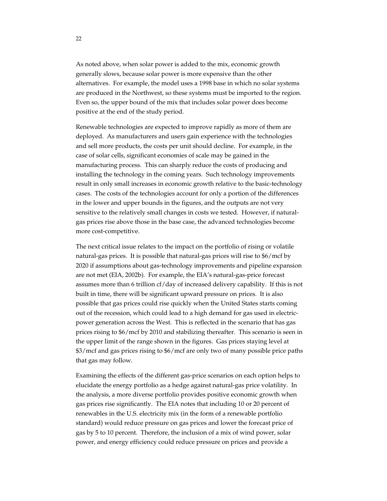As noted above, when solar power is added to the mix, economic growth generally slows, because solar power is more expensive than the other alternatives. For example, the model uses a 1998 base in which no solar systems are produced in the Northwest, so these systems must be imported to the region. Even so, the upper bound of the mix that includes solar power does become positive at the end of the study period.

Renewable technologies are expected to improve rapidly as more of them are deployed. As manufacturers and users gain experience with the technologies and sell more products, the costs per unit should decline. For example, in the case of solar cells, significant economies of scale may be gained in the manufacturing process. This can sharply reduce the costs of producing and installing the technology in the coming years. Such technology improvements result in only small increases in economic growth relative to the basic-technology cases. The costs of the technologies account for only a portion of the differences in the lower and upper bounds in the figures, and the outputs are not very sensitive to the relatively small changes in costs we tested. However, if naturalgas prices rise above those in the base case, the advanced technologies become more cost-competitive.

The next critical issue relates to the impact on the portfolio of rising or volatile natural-gas prices. It is possible that natural-gas prices will rise to \$6/mcf by 2020 if assumptions about gas-technology improvements and pipeline expansion are not met (EIA, 2002b). For example, the EIA's natural-gas-price forecast assumes more than 6 trillion cf/day of increased delivery capability. If this is not built in time, there will be significant upward pressure on prices. It is also possible that gas prices could rise quickly when the United States starts coming out of the recession, which could lead to a high demand for gas used in electricpower generation across the West. This is reflected in the scenario that has gas prices rising to \$6/mcf by 2010 and stabilizing thereafter. This scenario is seen in the upper limit of the range shown in the figures. Gas prices staying level at \$3/mcf and gas prices rising to \$6/mcf are only two of many possible price paths that gas may follow.

Examining the effects of the different gas-price scenarios on each option helps to elucidate the energy portfolio as a hedge against natural-gas price volatility. In the analysis, a more diverse portfolio provides positive economic growth when gas prices rise significantly. The EIA notes that including 10 or 20 percent of renewables in the U.S. electricity mix (in the form of a renewable portfolio standard) would reduce pressure on gas prices and lower the forecast price of gas by 5 to 10 percent. Therefore, the inclusion of a mix of wind power, solar power, and energy efficiency could reduce pressure on prices and provide a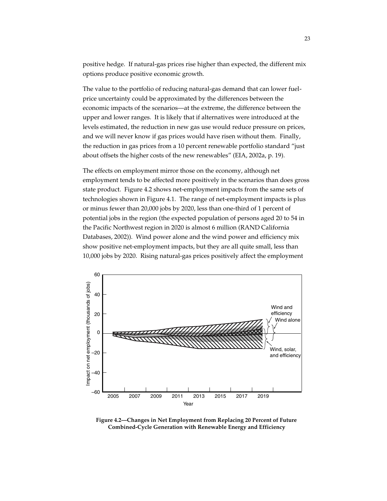positive hedge. If natural-gas prices rise higher than expected, the different mix options produce positive economic growth.

The value to the portfolio of reducing natural-gas demand that can lower fuelprice uncertainty could be approximated by the differences between the economic impacts of the scenarios—at the extreme, the difference between the upper and lower ranges. It is likely that if alternatives were introduced at the levels estimated, the reduction in new gas use would reduce pressure on prices, and we will never know if gas prices would have risen without them. Finally, the reduction in gas prices from a 10 percent renewable portfolio standard "just about offsets the higher costs of the new renewables" (EIA, 2002a, p. 19).

The effects on employment mirror those on the economy, although net employment tends to be affected more positively in the scenarios than does gross state product. Figure 4.2 shows net-employment impacts from the same sets of technologies shown in Figure 4.1. The range of net-employment impacts is plus or minus fewer than 20,000 jobs by 2020, less than one-third of 1 percent of potential jobs in the region (the expected population of persons aged 20 to 54 in the Pacific Northwest region in 2020 is almost 6 million (RAND California Databases, 2002)). Wind power alone and the wind power and efficiency mix show positive net-employment impacts, but they are all quite small, less than 10,000 jobs by 2020. Rising natural-gas prices positively affect the employment



**Figure 4.2—Changes in Net Employment from Replacing 20 Percent of Future Combined-Cycle Generation with Renewable Energy and Efficiency**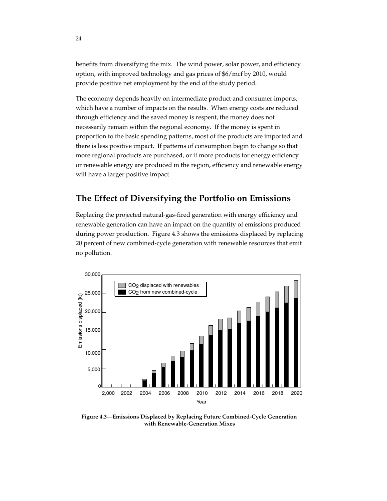benefits from diversifying the mix. The wind power, solar power, and efficiency option, with improved technology and gas prices of \$6/mcf by 2010, would provide positive net employment by the end of the study period.

The economy depends heavily on intermediate product and consumer imports, which have a number of impacts on the results. When energy costs are reduced through efficiency and the saved money is respent, the money does not necessarily remain within the regional economy. If the money is spent in proportion to the basic spending patterns, most of the products are imported and there is less positive impact. If patterns of consumption begin to change so that more regional products are purchased, or if more products for energy efficiency or renewable energy are produced in the region, efficiency and renewable energy will have a larger positive impact.

# **The Effect of Diversifying the Portfolio on Emissions**

Replacing the projected natural-gas-fired generation with energy efficiency and renewable generation can have an impact on the quantity of emissions produced during power production. Figure 4.3 shows the emissions displaced by replacing 20 percent of new combined-cycle generation with renewable resources that emit no pollution.



**Figure 4.3—Emissions Displaced by Replacing Future Combined-Cycle Generation with Renewable-Generation Mixes**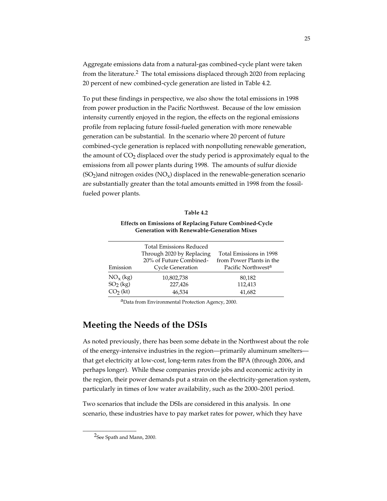Aggregate emissions data from a natural-gas combined-cycle plant were taken from the literature.<sup>2</sup> The total emissions displaced through 2020 from replacing 20 percent of new combined-cycle generation are listed in Table 4.2.

To put these findings in perspective, we also show the total emissions in 1998 from power production in the Pacific Northwest. Because of the low emission intensity currently enjoyed in the region, the effects on the regional emissions profile from replacing future fossil-fueled generation with more renewable generation can be substantial. In the scenario where 20 percent of future combined-cycle generation is replaced with nonpolluting renewable generation, the amount of  $CO<sub>2</sub>$  displaced over the study period is approximately equal to the emissions from all power plants during 1998. The amounts of sulfur dioxide  $(SO<sub>2</sub>)$ and nitrogen oxides  $(NO<sub>x</sub>)$  displaced in the renewable-generation scenario are substantially greater than the total amounts emitted in 1998 from the fossilfueled power plants.

#### **Table 4.2**

#### **Effects on Emissions of Replacing Future Combined-Cycle Generation with Renewable-Generation Mixes**

|             | <b>Total Emissions Reduced</b> |                                |
|-------------|--------------------------------|--------------------------------|
|             | Through 2020 by Replacing      | Total Emissions in 1998        |
|             | 20% of Future Combined-        | from Power Plants in the       |
| Emission    | <b>Cycle Generation</b>        | Pacific Northwest <sup>a</sup> |
| $NOx$ (kg)  | 10,802,738                     | 80,182                         |
| $SO_2$ (kg) | 227,426                        | 112,413                        |
| $CO2$ (kt)  | 46,534                         | 41,682                         |

aData from Environmental Protection Agency, 2000.

# **Meeting the Needs of the DSIs**

As noted previously, there has been some debate in the Northwest about the role of the energy-intensive industries in the region—primarily aluminum smelters that get electricity at low-cost, long-term rates from the BPA (through 2006, and perhaps longer). While these companies provide jobs and economic activity in the region, their power demands put a strain on the electricity-generation system, particularly in times of low water availability, such as the 2000–2001 period.

Two scenarios that include the DSIs are considered in this analysis. In one scenario, these industries have to pay market rates for power, which they have

\_\_\_\_\_\_\_\_\_\_\_\_\_\_\_\_\_

<sup>&</sup>lt;sup>2</sup>See Spath and Mann, 2000.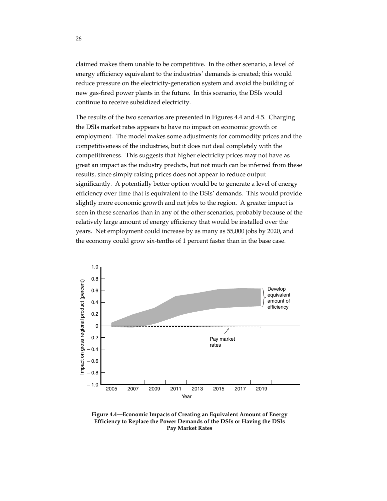claimed makes them unable to be competitive. In the other scenario, a level of energy efficiency equivalent to the industries' demands is created; this would reduce pressure on the electricity-generation system and avoid the building of new gas-fired power plants in the future. In this scenario, the DSIs would continue to receive subsidized electricity.

The results of the two scenarios are presented in Figures 4.4 and 4.5. Charging the DSIs market rates appears to have no impact on economic growth or employment. The model makes some adjustments for commodity prices and the competitiveness of the industries, but it does not deal completely with the competitiveness. This suggests that higher electricity prices may not have as great an impact as the industry predicts, but not much can be inferred from these results, since simply raising prices does not appear to reduce output significantly. A potentially better option would be to generate a level of energy efficiency over time that is equivalent to the DSIs' demands. This would provide slightly more economic growth and net jobs to the region. A greater impact is seen in these scenarios than in any of the other scenarios, probably because of the relatively large amount of energy efficiency that would be installed over the years. Net employment could increase by as many as 55,000 jobs by 2020, and the economy could grow six-tenths of 1 percent faster than in the base case.



**Figure 4.4—Economic Impacts of Creating an Equivalent Amount of Energy Efficiency to Replace the Power Demands of the DSIs or Having the DSIs Pay Market Rates**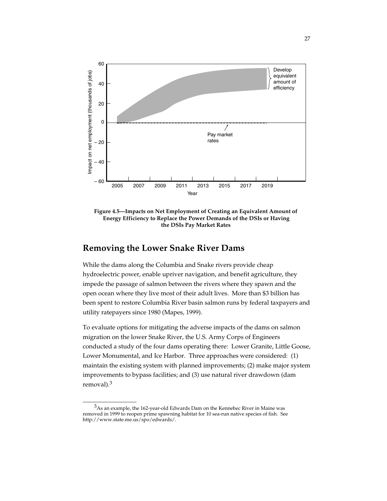

**Figure 4.5—Impacts on Net Employment of Creating an Equivalent Amount of Energy Efficiency to Replace the Power Demands of the DSIs or Having the DSIs Pay Market Rates**

# **Removing the Lower Snake River Dams**

While the dams along the Columbia and Snake rivers provide cheap hydroelectric power, enable upriver navigation, and benefit agriculture, they impede the passage of salmon between the rivers where they spawn and the open ocean where they live most of their adult lives. More than \$3 billion has been spent to restore Columbia River basin salmon runs by federal taxpayers and utility ratepayers since 1980 (Mapes, 1999).

To evaluate options for mitigating the adverse impacts of the dams on salmon migration on the lower Snake River, the U.S. Army Corps of Engineers conducted a study of the four dams operating there: Lower Granite, Little Goose, Lower Monumental, and Ice Harbor. Three approaches were considered: (1) maintain the existing system with planned improvements; (2) make major system improvements to bypass facilities; and (3) use natural river drawdown (dam removal).3

\_\_\_\_\_\_\_\_\_\_\_\_\_\_\_\_\_

 $3As$  an example, the 162-year-old Edwards Dam on the Kennebec River in Maine was removed in 1999 to reopen prime spawning habitat for 10 sea-run native species of fish. See http://www.state.me.us/spo/edwards/.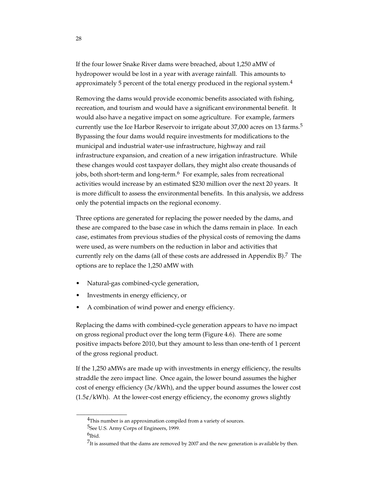If the four lower Snake River dams were breached, about 1,250 aMW of hydropower would be lost in a year with average rainfall. This amounts to approximately 5 percent of the total energy produced in the regional system. $4$ 

Removing the dams would provide economic benefits associated with fishing, recreation, and tourism and would have a significant environmental benefit. It would also have a negative impact on some agriculture. For example, farmers currently use the Ice Harbor Reservoir to irrigate about 37,000 acres on 13 farms.<sup>5</sup> Bypassing the four dams would require investments for modifications to the municipal and industrial water-use infrastructure, highway and rail infrastructure expansion, and creation of a new irrigation infrastructure. While these changes would cost taxpayer dollars, they might also create thousands of jobs, both short-term and long-term.<sup>6</sup> For example, sales from recreational activities would increase by an estimated \$230 million over the next 20 years. It is more difficult to assess the environmental benefits. In this analysis, we address only the potential impacts on the regional economy.

Three options are generated for replacing the power needed by the dams, and these are compared to the base case in which the dams remain in place. In each case, estimates from previous studies of the physical costs of removing the dams were used, as were numbers on the reduction in labor and activities that currently rely on the dams (all of these costs are addressed in Appendix B).<sup>7</sup> The options are to replace the 1,250 aMW with

- Natural-gas combined-cycle generation,
- Investments in energy efficiency, or
- A combination of wind power and energy efficiency.

Replacing the dams with combined-cycle generation appears to have no impact on gross regional product over the long term (Figure 4.6). There are some positive impacts before 2010, but they amount to less than one-tenth of 1 percent of the gross regional product.

If the 1,250 aMWs are made up with investments in energy efficiency, the results straddle the zero impact line. Once again, the lower bound assumes the higher cost of energy efficiency  $(3¢/kWh)$ , and the upper bound assumes the lower cost  $(1.5¢/kWh)$ . At the lower-cost energy efficiency, the economy grows slightly

\_\_\_\_\_\_\_\_\_\_\_\_\_\_\_\_

<sup>&</sup>lt;sup>4</sup>This number is an approximation compiled from a variety of sources.

<sup>&</sup>lt;sup>5</sup>See U.S. Army Corps of Engineers, 1999.

<sup>&</sup>lt;sup>6</sup>Ibid.

 $7$ It is assumed that the dams are removed by 2007 and the new generation is available by then.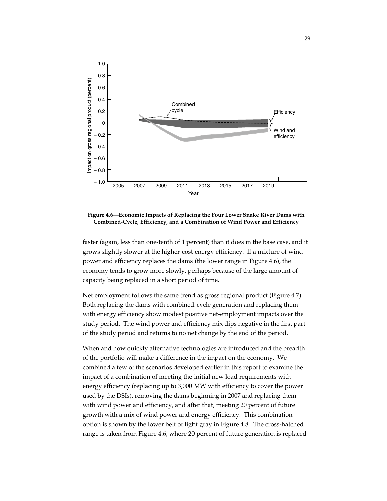

**Figure 4.6—Economic Impacts of Replacing the Four Lower Snake River Dams with Combined-Cycle, Efficiency, and a Combination of Wind Power and Efficiency**

faster (again, less than one-tenth of 1 percent) than it does in the base case, and it grows slightly slower at the higher-cost energy efficiency. If a mixture of wind power and efficiency replaces the dams (the lower range in Figure 4.6), the economy tends to grow more slowly, perhaps because of the large amount of capacity being replaced in a short period of time.

Net employment follows the same trend as gross regional product (Figure 4.7). Both replacing the dams with combined-cycle generation and replacing them with energy efficiency show modest positive net-employment impacts over the study period. The wind power and efficiency mix dips negative in the first part of the study period and returns to no net change by the end of the period.

When and how quickly alternative technologies are introduced and the breadth of the portfolio will make a difference in the impact on the economy. We combined a few of the scenarios developed earlier in this report to examine the impact of a combination of meeting the initial new load requirements with energy efficiency (replacing up to 3,000 MW with efficiency to cover the power used by the DSIs), removing the dams beginning in 2007 and replacing them with wind power and efficiency, and after that, meeting 20 percent of future growth with a mix of wind power and energy efficiency. This combination option is shown by the lower belt of light gray in Figure 4.8. The cross-hatched range is taken from Figure 4.6, where 20 percent of future generation is replaced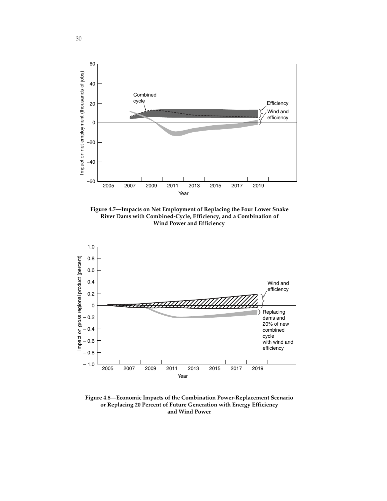

**Figure 4.7—Impacts on Net Employment of Replacing the Four Lower Snake River Dams with Combined-Cycle, Efficiency, and a Combination of Wind Power and Efficiency**



**Figure 4.8—Economic Impacts of the Combination Power-Replacement Scenario or Replacing 20 Percent of Future Generation with Energy Efficiency and Wind Power**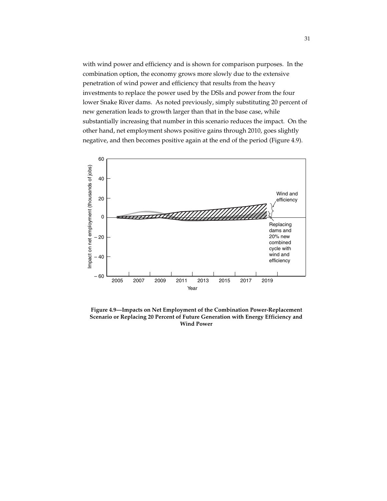with wind power and efficiency and is shown for comparison purposes. In the combination option, the economy grows more slowly due to the extensive penetration of wind power and efficiency that results from the heavy investments to replace the power used by the DSIs and power from the four lower Snake River dams. As noted previously, simply substituting 20 percent of new generation leads to growth larger than that in the base case, while substantially increasing that number in this scenario reduces the impact. On the other hand, net employment shows positive gains through 2010, goes slightly negative, and then becomes positive again at the end of the period (Figure 4.9).



**Figure 4.9—Impacts on Net Employment of the Combination Power-Replacement Scenario or Replacing 20 Percent of Future Generation with Energy Efficiency and Wind Power**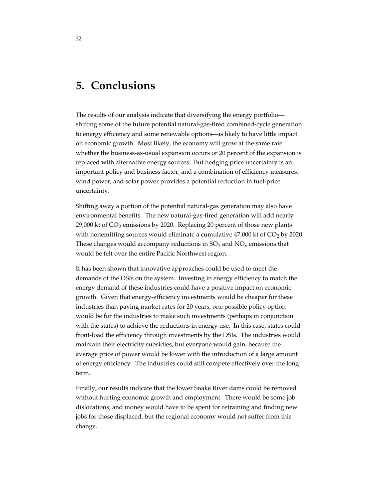# **5. Conclusions**

The results of our analysis indicate that diversifying the energy portfolio shifting some of the future potential natural-gas-fired combined-cycle generation to energy efficiency and some renewable options—is likely to have little impact on economic growth. Most likely, the economy will grow at the same rate whether the business-as-usual expansion occurs or 20 percent of the expansion is replaced with alternative energy sources. But hedging price uncertainty is an important policy and business factor, and a combination of efficiency measures, wind power, and solar power provides a potential reduction in fuel-price uncertainty.

Shifting away a portion of the potential natural-gas generation may also have environmental benefits. The new natural-gas-fired generation will add nearly 29,000 kt of  $CO_2$  emissions by 2020. Replacing 20 percent of those new plants with nonemitting sources would eliminate a cumulative  $47,000$  kt of  $CO<sub>2</sub>$  by 2020. These changes would accompany reductions in  $SO_2$  and  $NO<sub>x</sub>$  emissions that would be felt over the entire Pacific Northwest region.

It has been shown that innovative approaches could be used to meet the demands of the DSIs on the system. Investing in energy efficiency to match the energy demand of these industries could have a positive impact on economic growth. Given that energy-efficiency investments would be cheaper for these industries than paying market rates for 20 years, one possible policy option would be for the industries to make such investments (perhaps in conjunction with the states) to achieve the reductions in energy use. In this case, states could front-load the efficiency through investments by the DSIs. The industries would maintain their electricity subsidies, but everyone would gain, because the average price of power would be lower with the introduction of a large amount of energy efficiency. The industries could still compete effectively over the long term.

Finally, our results indicate that the lower Snake River dams could be removed without hurting economic growth and employment. There would be some job dislocations, and money would have to be spent for retraining and finding new jobs for those displaced, but the regional economy would not suffer from this change.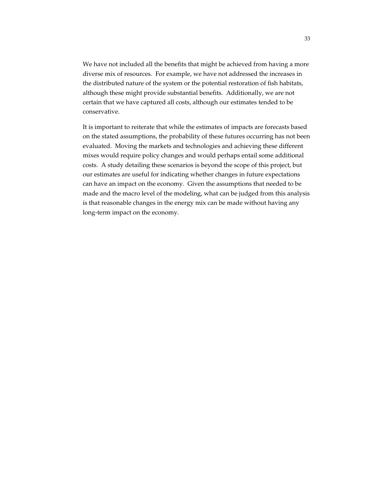We have not included all the benefits that might be achieved from having a more diverse mix of resources. For example, we have not addressed the increases in the distributed nature of the system or the potential restoration of fish habitats, although these might provide substantial benefits. Additionally, we are not certain that we have captured all costs, although our estimates tended to be conservative.

It is important to reiterate that while the estimates of impacts are forecasts based on the stated assumptions, the probability of these futures occurring has not been evaluated. Moving the markets and technologies and achieving these different mixes would require policy changes and would perhaps entail some additional costs. A study detailing these scenarios is beyond the scope of this project, but our estimates are useful for indicating whether changes in future expectations can have an impact on the economy. Given the assumptions that needed to be made and the macro level of the modeling, what can be judged from this analysis is that reasonable changes in the energy mix can be made without having any long-term impact on the economy.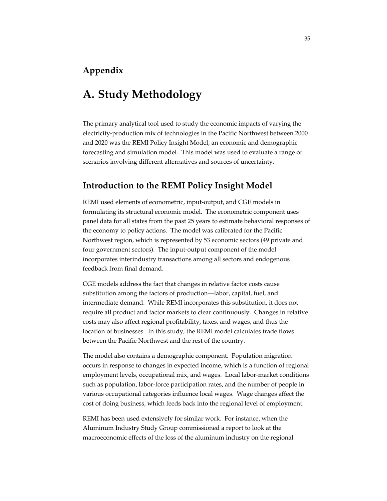# **Appendix**

# **A. Study Methodology**

The primary analytical tool used to study the economic impacts of varying the electricity-production mix of technologies in the Pacific Northwest between 2000 and 2020 was the REMI Policy Insight Model, an economic and demographic forecasting and simulation model. This model was used to evaluate a range of scenarios involving different alternatives and sources of uncertainty.

# **Introduction to the REMI Policy Insight Model**

REMI used elements of econometric, input-output, and CGE models in formulating its structural economic model. The econometric component uses panel data for all states from the past 25 years to estimate behavioral responses of the economy to policy actions. The model was calibrated for the Pacific Northwest region, which is represented by 53 economic sectors (49 private and four government sectors). The input-output component of the model incorporates interindustry transactions among all sectors and endogenous feedback from final demand.

CGE models address the fact that changes in relative factor costs cause substitution among the factors of production—labor, capital, fuel, and intermediate demand. While REMI incorporates this substitution, it does not require all product and factor markets to clear continuously. Changes in relative costs may also affect regional profitability, taxes, and wages, and thus the location of businesses. In this study, the REMI model calculates trade flows between the Pacific Northwest and the rest of the country.

The model also contains a demographic component. Population migration occurs in response to changes in expected income, which is a function of regional employment levels, occupational mix, and wages. Local labor-market conditions such as population, labor-force participation rates, and the number of people in various occupational categories influence local wages. Wage changes affect the cost of doing business, which feeds back into the regional level of employment.

REMI has been used extensively for similar work. For instance, when the Aluminum Industry Study Group commissioned a report to look at the macroeconomic effects of the loss of the aluminum industry on the regional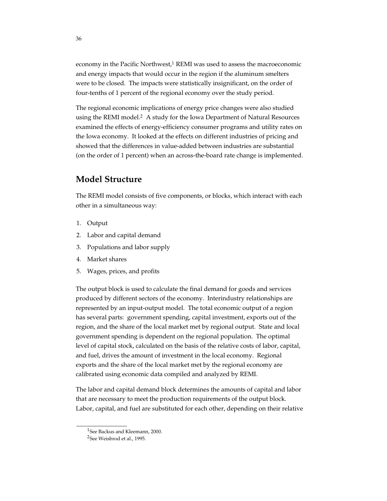economy in the Pacific Northwest, $1$  REMI was used to assess the macroeconomic and energy impacts that would occur in the region if the aluminum smelters were to be closed. The impacts were statistically insignificant, on the order of four-tenths of 1 percent of the regional economy over the study period.

The regional economic implications of energy price changes were also studied using the REMI model.2 A study for the Iowa Department of Natural Resources examined the effects of energy-efficiency consumer programs and utility rates on the Iowa economy. It looked at the effects on different industries of pricing and showed that the differences in value-added between industries are substantial (on the order of 1 percent) when an across-the-board rate change is implemented.

# **Model Structure**

The REMI model consists of five components, or blocks, which interact with each other in a simultaneous way:

- 1. Output
- 2. Labor and capital demand
- 3. Populations and labor supply
- 4. Market shares
- 5. Wages, prices, and profits

The output block is used to calculate the final demand for goods and services produced by different sectors of the economy. Interindustry relationships are represented by an input-output model. The total economic output of a region has several parts: government spending, capital investment, exports out of the region, and the share of the local market met by regional output. State and local government spending is dependent on the regional population. The optimal level of capital stock, calculated on the basis of the relative costs of labor, capital, and fuel, drives the amount of investment in the local economy. Regional exports and the share of the local market met by the regional economy are calibrated using economic data compiled and analyzed by REMI.

The labor and capital demand block determines the amounts of capital and labor that are necessary to meet the production requirements of the output block. Labor, capital, and fuel are substituted for each other, depending on their relative

\_\_\_\_\_\_\_\_\_\_\_\_\_\_\_\_

<sup>1</sup>See Backus and Kleemann, 2000.

<sup>&</sup>lt;sup>2</sup>See Weisbrod et al., 1995.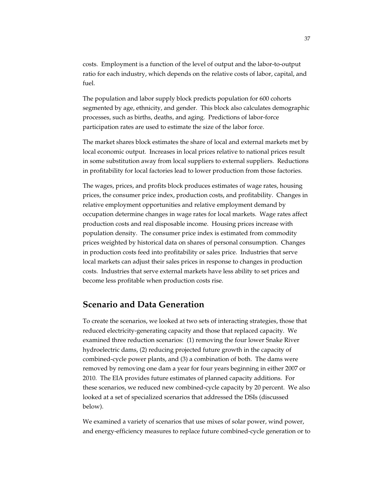costs. Employment is a function of the level of output and the labor-to-output ratio for each industry, which depends on the relative costs of labor, capital, and fuel.

The population and labor supply block predicts population for 600 cohorts segmented by age, ethnicity, and gender. This block also calculates demographic processes, such as births, deaths, and aging. Predictions of labor-force participation rates are used to estimate the size of the labor force.

The market shares block estimates the share of local and external markets met by local economic output. Increases in local prices relative to national prices result in some substitution away from local suppliers to external suppliers. Reductions in profitability for local factories lead to lower production from those factories.

The wages, prices, and profits block produces estimates of wage rates, housing prices, the consumer price index, production costs, and profitability. Changes in relative employment opportunities and relative employment demand by occupation determine changes in wage rates for local markets. Wage rates affect production costs and real disposable income. Housing prices increase with population density. The consumer price index is estimated from commodity prices weighted by historical data on shares of personal consumption. Changes in production costs feed into profitability or sales price. Industries that serve local markets can adjust their sales prices in response to changes in production costs. Industries that serve external markets have less ability to set prices and become less profitable when production costs rise.

## **Scenario and Data Generation**

To create the scenarios, we looked at two sets of interacting strategies, those that reduced electricity-generating capacity and those that replaced capacity. We examined three reduction scenarios: (1) removing the four lower Snake River hydroelectric dams, (2) reducing projected future growth in the capacity of combined-cycle power plants, and (3) a combination of both. The dams were removed by removing one dam a year for four years beginning in either 2007 or 2010. The EIA provides future estimates of planned capacity additions. For these scenarios, we reduced new combined-cycle capacity by 20 percent. We also looked at a set of specialized scenarios that addressed the DSIs (discussed below).

We examined a variety of scenarios that use mixes of solar power, wind power, and energy-efficiency measures to replace future combined-cycle generation or to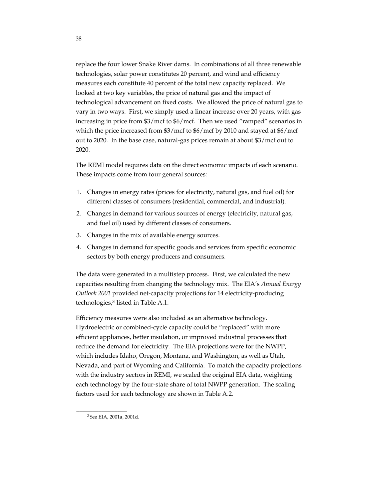replace the four lower Snake River dams. In combinations of all three renewable technologies, solar power constitutes 20 percent, and wind and efficiency measures each constitute 40 percent of the total new capacity replaced. We looked at two key variables, the price of natural gas and the impact of technological advancement on fixed costs. We allowed the price of natural gas to vary in two ways. First, we simply used a linear increase over 20 years, with gas increasing in price from \$3/mcf to \$6/mcf. Then we used "ramped" scenarios in which the price increased from \$3/mcf to \$6/mcf by 2010 and stayed at \$6/mcf out to 2020. In the base case, natural-gas prices remain at about \$3/mcf out to 2020.

The REMI model requires data on the direct economic impacts of each scenario. These impacts come from four general sources:

- 1. Changes in energy rates (prices for electricity, natural gas, and fuel oil) for different classes of consumers (residential, commercial, and industrial).
- 2. Changes in demand for various sources of energy (electricity, natural gas, and fuel oil) used by different classes of consumers.
- 3. Changes in the mix of available energy sources.
- 4. Changes in demand for specific goods and services from specific economic sectors by both energy producers and consumers.

The data were generated in a multistep process. First, we calculated the new capacities resulting from changing the technology mix. The EIA's *Annual Energy Outlook 2001* provided net-capacity projections for 14 electricity-producing technologies, $3$  listed in Table A.1.

Efficiency measures were also included as an alternative technology. Hydroelectric or combined-cycle capacity could be "replaced" with more efficient appliances, better insulation, or improved industrial processes that reduce the demand for electricity. The EIA projections were for the NWPP, which includes Idaho, Oregon, Montana, and Washington, as well as Utah, Nevada, and part of Wyoming and California. To match the capacity projections with the industry sectors in REMI, we scaled the original EIA data, weighting each technology by the four-state share of total NWPP generation. The scaling factors used for each technology are shown in Table A.2.

\_\_\_\_\_\_\_\_\_\_\_\_\_\_\_\_

<sup>3</sup>See EIA, 2001a, 2001d.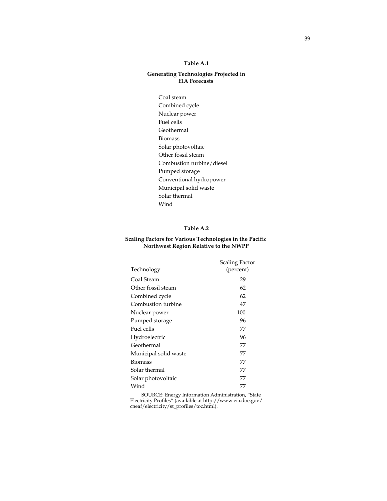#### **Generating Technologies Projected in EIA Forecasts**

| Coal steam                |
|---------------------------|
| Combined cycle            |
| Nuclear power             |
| Fuel cells                |
| Geothermal                |
| <b>Biomass</b>            |
| Solar photovoltaic        |
| Other fossil steam        |
| Combustion turbine/diesel |
| Pumped storage            |
| Conventional hydropower   |
| Municipal solid waste     |
| Solar thermal             |
| Wind                      |

### **Table A.2**

### **Scaling Factors for Various Technologies in the Pacific Northwest Region Relative to the NWPP**

|                       | <b>Scaling Factor</b> |
|-----------------------|-----------------------|
| Technology            | (percent)             |
| Coal Steam            | 29                    |
| Other fossil steam    | 62                    |
| Combined cycle        | 62                    |
| Combustion turbine    | 47                    |
| Nuclear power         | 100                   |
| Pumped storage        | 96                    |
| Fuel cells            | 77                    |
| Hydroelectric         | 96                    |
| Geothermal            | 77                    |
| Municipal solid waste | 77                    |
| Biomass               | 77                    |
| Solar thermal         | 77                    |
| Solar photovoltaic    | 77                    |
| Wind                  | 77                    |

SOURCE: Energy Information Administration, "State Electricity Profiles" (available at http://www.eia.doe.gov/ cneaf/electricity/st\_profiles/toc.html).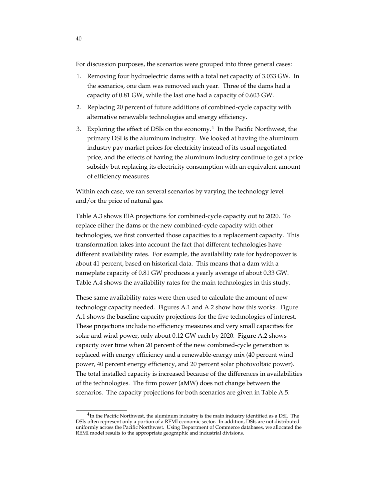For discussion purposes, the scenarios were grouped into three general cases:

- 1. Removing four hydroelectric dams with a total net capacity of 3.033 GW. In the scenarios, one dam was removed each year. Three of the dams had a capacity of 0.81 GW, while the last one had a capacity of 0.603 GW.
- 2. Replacing 20 percent of future additions of combined-cycle capacity with alternative renewable technologies and energy efficiency.
- 3. Exploring the effect of DSIs on the economy.4 In the Pacific Northwest, the primary DSI is the aluminum industry. We looked at having the aluminum industry pay market prices for electricity instead of its usual negotiated price, and the effects of having the aluminum industry continue to get a price subsidy but replacing its electricity consumption with an equivalent amount of efficiency measures.

Within each case, we ran several scenarios by varying the technology level and/or the price of natural gas.

Table A.3 shows EIA projections for combined-cycle capacity out to 2020. To replace either the dams or the new combined-cycle capacity with other technologies, we first converted those capacities to a replacement capacity. This transformation takes into account the fact that different technologies have different availability rates. For example, the availability rate for hydropower is about 41 percent, based on historical data. This means that a dam with a nameplate capacity of 0.81 GW produces a yearly average of about 0.33 GW. Table A.4 shows the availability rates for the main technologies in this study.

These same availability rates were then used to calculate the amount of new technology capacity needed. Figures A.1 and A.2 show how this works. Figure A.1 shows the baseline capacity projections for the five technologies of interest. These projections include no efficiency measures and very small capacities for solar and wind power, only about 0.12 GW each by 2020. Figure A.2 shows capacity over time when 20 percent of the new combined-cycle generation is replaced with energy efficiency and a renewable-energy mix (40 percent wind power, 40 percent energy efficiency, and 20 percent solar photovoltaic power). The total installed capacity is increased because of the differences in availabilities of the technologies. The firm power (aMW) does not change between the scenarios. The capacity projections for both scenarios are given in Table A.5.

\_\_\_\_\_\_\_\_\_\_\_\_\_\_\_\_

 $4$ In the Pacific Northwest, the aluminum industry is the main industry identified as a DSI. The DSIs often represent only a portion of a REMI economic sector. In addition, DSIs are not distributed uniformly across the Pacific Northwest. Using Department of Commerce databases, we allocated the REMI model results to the appropriate geographic and industrial divisions.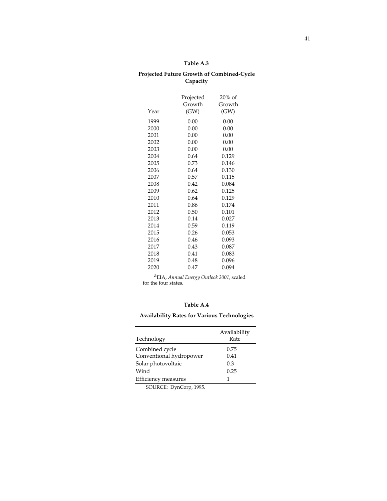## **Projected Future Growth of Combined-Cycle Capacity**

|      | Projected | $20\%$ of |
|------|-----------|-----------|
|      | Growth    | Growth    |
| Year | (GW)      | (GW)      |
| 1999 | 0.00      | 0.00      |
| 2000 | 0.00      | 0.00      |
| 2001 | 0.00      | 0.00      |
| 2002 | 0.00      | 0.00      |
| 2003 | 0.00      | 0.00      |
| 2004 | 0.64      | 0.129     |
| 2005 | 0.73      | 0.146     |
| 2006 | 0.64      | 0.130     |
| 2007 | 0.57      | 0.115     |
| 2008 | 0.42      | 0.084     |
| 2009 | 0.62      | 0.125     |
| 2010 | 0.64      | 0.129     |
| 2011 | 0.86      | 0.174     |
| 2012 | 0.50      | 0.101     |
| 2013 | 0.14      | 0.027     |
| 2014 | 0.59      | 0.119     |
| 2015 | 0.26      | 0.053     |
| 2016 | 0.46      | 0.093     |
| 2017 | 0.43      | 0.087     |
| 2018 | 0.41      | 0.083     |
| 2019 | 0.48      | 0.096     |
| 2020 | 0.47      | 0.094     |

aEIA, *Annual Energy Outlook 2001,* scaled for the four states.

### **Table A.4**

## **Availability Rates for Various Technologies**

| Technology              | Availability<br>Rate |
|-------------------------|----------------------|
| Combined cycle          | 0.75                 |
| Conventional hydropower | 0.41                 |
| Solar photovoltaic      | 0.3                  |
| Wind                    | 0.25                 |
| Efficiency measures     |                      |

SOURCE: DynCorp, 1995.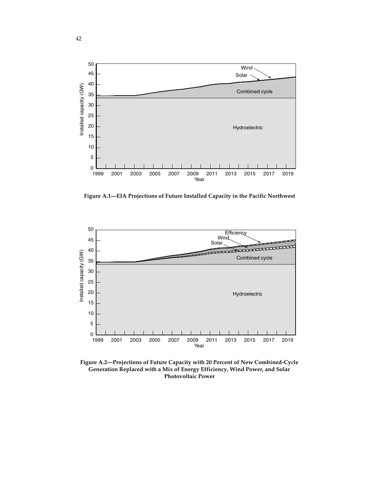

**Figure A.1—EIA Projections of Future Installed Capacity in the Pacific Northwest**



**Figure A.2—Projections of Future Capacity with 20 Percent of New Combined-Cycle Generation Replaced with a Mix of Energy Efficiency, Wind Power, and Solar Photovoltaic Power**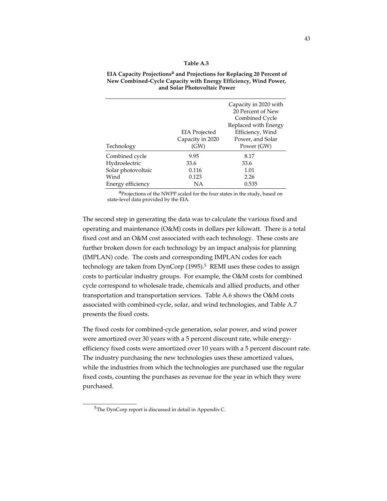|                    |                      | Capacity in 2020 with |
|--------------------|----------------------|-----------------------|
|                    |                      | 20 Percent of New     |
|                    |                      | Combined Cycle        |
|                    |                      | Replaced with Energy  |
|                    | <b>EIA</b> Projected | Efficiency, Wind      |
|                    | Capacity in 2020     | Power, and Solar      |
| Technology         | (GW)                 | Power (GW)            |
| Combined cycle     | 9.95                 | 8.17                  |
| Hydroelectric      | 33.6                 | 33.6                  |
| Solar photovoltaic | 0.116                | 1.01                  |
| Wind               | 0.123                | 2.26                  |
| Energy efficiency  | NΑ                   | 0.535                 |

#### **EIA Capacity Projections<sup>a</sup> and Projections for Replacing 20 Percent of New Combined-Cycle Capacity with Energy Efficiency, Wind Power, and Solar Photovoltaic Power**

<sup>a</sup>Projections of the NWPP scaled for the four states in the study, based on state-level data provided by the EIA.

The second step in generating the data was to calculate the various fixed and operating and maintenance (O&M) costs in dollars per kilowatt. There is a total fixed cost and an O&M cost associated with each technology. These costs are further broken down for each technology by an impact analysis for planning (IMPLAN) code. The costs and corresponding IMPLAN codes for each technology are taken from DynCorp (1995).<sup>5</sup> REMI uses these codes to assign costs to particular industry groups. For example, the O&M costs for combined cycle correspond to wholesale trade, chemicals and allied products, and other transportation and transportation services. Table A.6 shows the O&M costs associated with combined-cycle, solar, and wind technologies, and Table A.7 presents the fixed costs.

The fixed costs for combined-cycle generation, solar power, and wind power were amortized over 30 years with a 5 percent discount rate, while energyefficiency fixed costs were amortized over 10 years with a 5 percent discount rate. The industry purchasing the new technologies uses these amortized values, while the industries from which the technologies are purchased use the regular fixed costs, counting the purchases as revenue for the year in which they were purchased.

\_\_\_\_\_\_\_\_\_\_\_\_\_\_\_\_\_

<sup>5</sup>The DynCorp report is discussed in detail in Appendix C.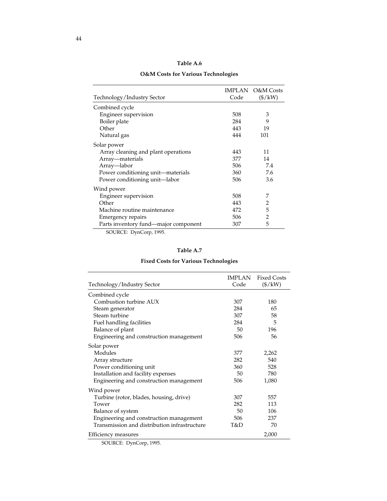## **O&M Costs for Various Technologies**

| Technology/Industry Sector           | Code | IMPLAN O&M Costs<br>$(\frac{5}{kW})$ |
|--------------------------------------|------|--------------------------------------|
| Combined cycle                       |      |                                      |
| Engineer supervision                 | 508  | 3                                    |
| Boiler plate                         | 284  | 9                                    |
| Other                                | 443  | 19                                   |
| Natural gas                          | 444  | 101                                  |
| Solar power                          |      |                                      |
| Array cleaning and plant operations  | 443  | 11                                   |
| Array—materials                      | 377  | 14                                   |
| Array—labor                          | 506  | 7.4                                  |
| Power conditioning unit-materials    | 360  | 7.6                                  |
| Power conditioning unit—labor        | 506  | 3.6                                  |
| Wind power                           |      |                                      |
| Engineer supervision                 | 508  | 7                                    |
| Other                                | 443  | 2                                    |
| Machine routine maintenance          | 472  | 5                                    |
| Emergency repairs                    | 506  | $\overline{2}$                       |
| Parts inventory fund—major component | 307  | 5                                    |

SOURCE: DynCorp, 1995.

## **Table A.7**

## **Fixed Costs for Various Technologies**

| Technology/Industry Sector                   | IMPLAN<br>Code | <b>Fixed Costs</b><br>$(\frac{5}{kW})$ |
|----------------------------------------------|----------------|----------------------------------------|
| Combined cycle                               |                |                                        |
| Combustion turbine AUX                       | 307            | 180                                    |
| Steam generator                              | 284            | 65                                     |
| Steam turbine                                | 307            | 58                                     |
| Fuel handling facilities                     | 284            | 5                                      |
| Balance of plant                             | 50             | 196                                    |
| Engineering and construction management      | 506            | 56                                     |
| Solar power                                  |                |                                        |
| Modules                                      | 377            | 2,262                                  |
| Array structure                              | 282            | 540                                    |
| Power conditioning unit                      | 360            | 528                                    |
| Installation and facility expenses           | 50             | 780                                    |
| Engineering and construction management      | 506            | 1,080                                  |
| Wind power                                   |                |                                        |
| Turbine (rotor, blades, housing, drive)      | 307            | 557                                    |
| Tower                                        | 282            | 113                                    |
| Balance of system                            | 50             | 106                                    |
| Engineering and construction management      | 506            | 237                                    |
| Transmission and distribution infrastructure | T&D            | 70                                     |
| Efficiency measures                          |                | 2,000                                  |

SOURCE: DynCorp, 1995.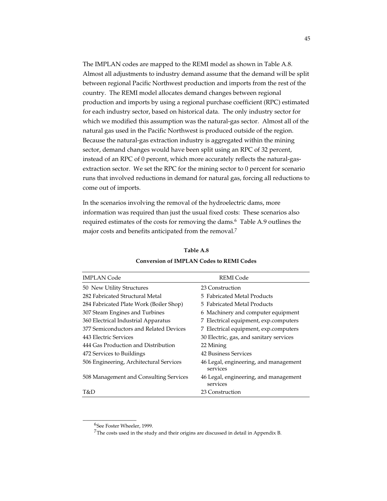The IMPLAN codes are mapped to the REMI model as shown in Table A.8. Almost all adjustments to industry demand assume that the demand will be split between regional Pacific Northwest production and imports from the rest of the country. The REMI model allocates demand changes between regional production and imports by using a regional purchase coefficient (RPC) estimated for each industry sector, based on historical data. The only industry sector for which we modified this assumption was the natural-gas sector. Almost all of the natural gas used in the Pacific Northwest is produced outside of the region. Because the natural-gas extraction industry is aggregated within the mining sector, demand changes would have been split using an RPC of 32 percent, instead of an RPC of 0 percent, which more accurately reflects the natural-gasextraction sector. We set the RPC for the mining sector to 0 percent for scenario runs that involved reductions in demand for natural gas, forcing all reductions to come out of imports.

In the scenarios involving the removal of the hydroelectric dams, more information was required than just the usual fixed costs: These scenarios also required estimates of the costs for removing the dams.<sup>6</sup> Table A.9 outlines the major costs and benefits anticipated from the removal.7

| <b>IMPLAN</b> Code                      | REMI Code                                         |
|-----------------------------------------|---------------------------------------------------|
| 50 New Utility Structures               | 23 Construction                                   |
| 282 Fabricated Structural Metal         | 5 Fabricated Metal Products                       |
| 284 Fabricated Plate Work (Boiler Shop) | 5 Fabricated Metal Products                       |
| 307 Steam Engines and Turbines          | 6 Machinery and computer equipment                |
| 360 Electrical Industrial Apparatus     | 7 Electrical equipment, exp.computers             |
| 377 Semiconductors and Related Devices  | 7 Electrical equipment, exp.computers             |
| 443 Electric Services                   | 30 Electric, gas, and sanitary services           |
| 444 Gas Production and Distribution     | 22 Mining                                         |
| 472 Services to Buildings               | 42 Business Services                              |
| 506 Engineering, Architectural Services | 46 Legal, engineering, and management<br>services |
| 508 Management and Consulting Services  | 46 Legal, engineering, and management<br>services |
| T&D                                     | 23 Construction                                   |

## **Table A.8 Conversion of IMPLAN Codes to REMI Codes**

\_\_\_\_\_\_\_\_\_\_\_\_\_\_\_\_\_

 $7$ The costs used in the study and their origins are discussed in detail in Appendix B.

<sup>6</sup>See Foster Wheeler, 1999.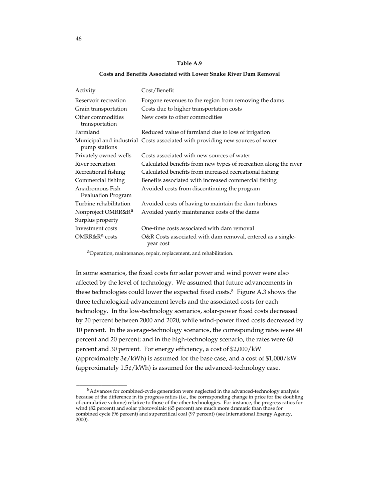#### **Costs and Benefits Associated with Lower Snake River Dam Removal**

| Activity                                     | Cost/Benefit                                                                  |
|----------------------------------------------|-------------------------------------------------------------------------------|
| Reservoir recreation                         | Forgone revenues to the region from removing the dams                         |
| Grain transportation                         | Costs due to higher transportation costs                                      |
| Other commodities<br>transportation          | New costs to other commodities                                                |
| Farmland                                     | Reduced value of farmland due to loss of irrigation                           |
| pump stations                                | Municipal and industrial Costs associated with providing new sources of water |
| Privately owned wells                        | Costs associated with new sources of water                                    |
| River recreation                             | Calculated benefits from new types of recreation along the river              |
| Recreational fishing                         | Calculated benefits from increased recreational fishing                       |
| Commercial fishing                           | Benefits associated with increased commercial fishing                         |
| Anadromous Fish<br><b>Evaluation Program</b> | Avoided costs from discontinuing the program                                  |
| Turbine rehabilitation                       | Avoided costs of having to maintain the dam turbines                          |
| Nonproject OMRR&R <sup>a</sup>               | Avoided yearly maintenance costs of the dams                                  |
| Surplus property                             |                                                                               |
| Investment costs                             | One-time costs associated with dam removal                                    |
| OMRR&R <sup>a</sup> costs                    | O&R Costs associated with dam removal, entered as a single-<br>year cost      |

aOperation, maintenance, repair, replacement, and rehabilitation.

\_\_\_\_\_\_\_\_\_\_\_\_\_\_\_\_

In some scenarios, the fixed costs for solar power and wind power were also affected by the level of technology. We assumed that future advancements in these technologies could lower the expected fixed costs.<sup>8</sup> Figure A.3 shows the three technological-advancement levels and the associated costs for each technology. In the low-technology scenarios, solar-power fixed costs decreased by 20 percent between 2000 and 2020, while wind-power fixed costs decreased by 10 percent. In the average-technology scenarios, the corresponding rates were 40 percent and 20 percent; and in the high-technology scenario, the rates were 60 percent and 30 percent. For energy efficiency, a cost of \$2,000/kW (approximately  $3¢/kWh$ ) is assumed for the base case, and a cost of \$1,000/kW (approximately 1.5¢/kWh) is assumed for the advanced-technology case.

 $8$ Advances for combined-cycle generation were neglected in the advanced-technology analysis because of the difference in its progress ratios (i.e., the corresponding change in price for the doubling of cumulative volume) relative to those of the other technologies. For instance, the progress ratios for wind (82 percent) and solar photovoltaic (65 percent) are much more dramatic than those for combined cycle (96 percent) and supercritical coal (97 percent) (see International Energy Agency, 2000).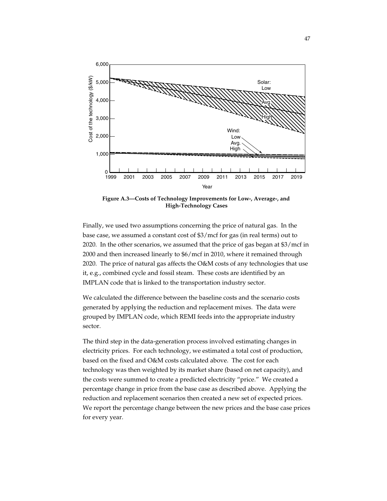

**Figure A.3—Costs of Technology Improvements for Low-, Average-, and High-Technology Cases**

Finally, we used two assumptions concerning the price of natural gas. In the base case, we assumed a constant cost of \$3/mcf for gas (in real terms) out to 2020. In the other scenarios, we assumed that the price of gas began at \$3/mcf in 2000 and then increased linearly to \$6/mcf in 2010, where it remained through 2020. The price of natural gas affects the O&M costs of any technologies that use it, e.g., combined cycle and fossil steam. These costs are identified by an IMPLAN code that is linked to the transportation industry sector.

We calculated the difference between the baseline costs and the scenario costs generated by applying the reduction and replacement mixes. The data were grouped by IMPLAN code, which REMI feeds into the appropriate industry sector.

The third step in the data-generation process involved estimating changes in electricity prices. For each technology, we estimated a total cost of production, based on the fixed and O&M costs calculated above. The cost for each technology was then weighted by its market share (based on net capacity), and the costs were summed to create a predicted electricity "price." We created a percentage change in price from the base case as described above. Applying the reduction and replacement scenarios then created a new set of expected prices. We report the percentage change between the new prices and the base case prices for every year.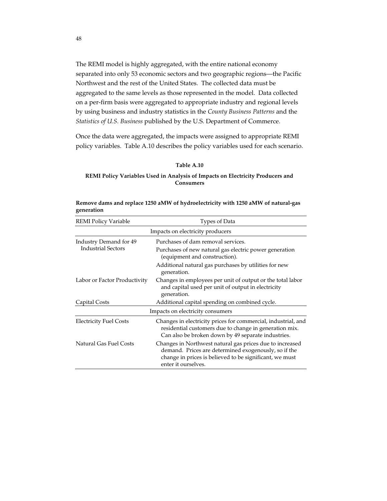The REMI model is highly aggregated, with the entire national economy separated into only 53 economic sectors and two geographic regions—the Pacific Northwest and the rest of the United States. The collected data must be aggregated to the same levels as those represented in the model. Data collected on a per-firm basis were aggregated to appropriate industry and regional levels by using business and industry statistics in the *County Business Patterns* and the *Statistics of U.S. Business* published by the U.S. Department of Commerce.

Once the data were aggregated, the impacts were assigned to appropriate REMI policy variables. Table A.10 describes the policy variables used for each scenario.

| Table A.10 |  |
|------------|--|
|------------|--|

### **REMI Policy Variables Used in Analysis of Impacts on Electricity Producers and Consumers**

| <b>REMI Policy Variable</b>                         | Types of Data                                                                                                                                                                                      |  |
|-----------------------------------------------------|----------------------------------------------------------------------------------------------------------------------------------------------------------------------------------------------------|--|
|                                                     | Impacts on electricity producers                                                                                                                                                                   |  |
| Industry Demand for 49<br><b>Industrial Sectors</b> | Purchases of dam removal services.<br>Purchases of new natural gas electric power generation<br>(equipment and construction).                                                                      |  |
|                                                     | Additional natural gas purchases by utilities for new<br>generation.                                                                                                                               |  |
| Labor or Factor Productivity                        | Changes in employees per unit of output or the total labor<br>and capital used per unit of output in electricity<br>generation.                                                                    |  |
| Capital Costs                                       | Additional capital spending on combined cycle.                                                                                                                                                     |  |
| Impacts on electricity consumers                    |                                                                                                                                                                                                    |  |
| <b>Electricity Fuel Costs</b>                       | Changes in electricity prices for commercial, industrial, and<br>residential customers due to change in generation mix.<br>Can also be broken down by 49 separate industries.                      |  |
| Natural Gas Fuel Costs                              | Changes in Northwest natural gas prices due to increased<br>demand. Prices are determined exogenously, so if the<br>change in prices is believed to be significant, we must<br>enter it ourselves. |  |

**Remove dams and replace 1250 aMW of hydroelectricity with 1250 aMW of natural-gas generation**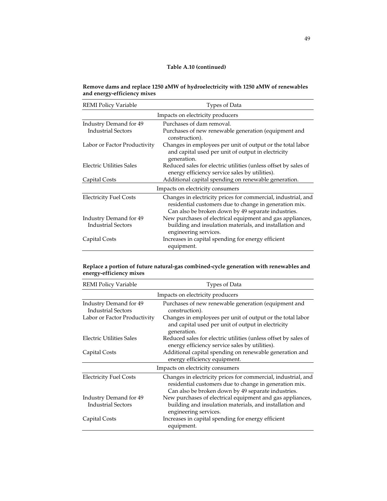## **Table A.10 (continued)**

| Remove dams and replace 1250 aMW of hydroelectricity with 1250 aMW of renewables |  |  |
|----------------------------------------------------------------------------------|--|--|
| and energy-efficiency mixes                                                      |  |  |

| <b>REMI Policy Variable</b>                         | Types of Data                                                                                                                                                                 |
|-----------------------------------------------------|-------------------------------------------------------------------------------------------------------------------------------------------------------------------------------|
|                                                     | Impacts on electricity producers                                                                                                                                              |
| Industry Demand for 49                              | Purchases of dam removal.                                                                                                                                                     |
| <b>Industrial Sectors</b>                           | Purchases of new renewable generation (equipment and<br>construction).                                                                                                        |
| Labor or Factor Productivity                        | Changes in employees per unit of output or the total labor<br>and capital used per unit of output in electricity<br>generation.                                               |
| <b>Electric Utilities Sales</b>                     | Reduced sales for electric utilities (unless offset by sales of<br>energy efficiency service sales by utilities).                                                             |
| Capital Costs                                       | Additional capital spending on renewable generation.                                                                                                                          |
|                                                     | Impacts on electricity consumers                                                                                                                                              |
| <b>Electricity Fuel Costs</b>                       | Changes in electricity prices for commercial, industrial, and<br>residential customers due to change in generation mix.<br>Can also be broken down by 49 separate industries. |
| Industry Demand for 49<br><b>Industrial Sectors</b> | New purchases of electrical equipment and gas appliances,<br>building and insulation materials, and installation and<br>engineering services.                                 |
| Capital Costs                                       | Increases in capital spending for energy efficient<br>equipment.                                                                                                              |

#### **Replace a portion of future natural-gas combined-cycle generation with renewables and energy-efficiency mixes**

| <b>REMI Policy Variable</b>                         | Types of Data                                                                                                                                                                 |
|-----------------------------------------------------|-------------------------------------------------------------------------------------------------------------------------------------------------------------------------------|
|                                                     | Impacts on electricity producers                                                                                                                                              |
| Industry Demand for 49<br><b>Industrial Sectors</b> | Purchases of new renewable generation (equipment and<br>construction).                                                                                                        |
| Labor or Factor Productivity                        | Changes in employees per unit of output or the total labor<br>and capital used per unit of output in electricity<br>generation.                                               |
| <b>Electric Utilities Sales</b>                     | Reduced sales for electric utilities (unless offset by sales of<br>energy efficiency service sales by utilities).                                                             |
| Capital Costs                                       | Additional capital spending on renewable generation and<br>energy efficiency equipment.                                                                                       |
|                                                     | Impacts on electricity consumers                                                                                                                                              |
| <b>Electricity Fuel Costs</b>                       | Changes in electricity prices for commercial, industrial, and<br>residential customers due to change in generation mix.<br>Can also be broken down by 49 separate industries. |
| Industry Demand for 49<br><b>Industrial Sectors</b> | New purchases of electrical equipment and gas appliances,<br>building and insulation materials, and installation and<br>engineering services.                                 |
| Capital Costs                                       | Increases in capital spending for energy efficient<br>equipment.                                                                                                              |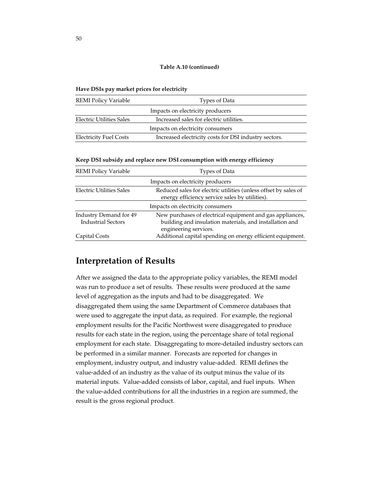#### **Table A.10 (continued)**

#### **Have DSIs pay market prices for electricity**

| <b>REMI Policy Variable</b>     | Types of Data                                         |  |
|---------------------------------|-------------------------------------------------------|--|
|                                 | Impacts on electricity producers                      |  |
| <b>Electric Utilities Sales</b> | Increased sales for electric utilities.               |  |
|                                 | Impacts on electricity consumers                      |  |
| <b>Electricity Fuel Costs</b>   | Increased electricity costs for DSI industry sectors. |  |

#### **Keep DSI subsidy and replace new DSI consumption with energy efficiency**

| <b>REMI Policy Variable</b>                         | Types of Data                                                                                                                                 |  |
|-----------------------------------------------------|-----------------------------------------------------------------------------------------------------------------------------------------------|--|
|                                                     | Impacts on electricity producers                                                                                                              |  |
| <b>Electric Utilities Sales</b>                     | Reduced sales for electric utilities (unless offset by sales of<br>energy efficiency service sales by utilities).                             |  |
|                                                     | Impacts on electricity consumers                                                                                                              |  |
| Industry Demand for 49<br><b>Industrial Sectors</b> | New purchases of electrical equipment and gas appliances,<br>building and insulation materials, and installation and<br>engineering services. |  |
| Capital Costs                                       | Additional capital spending on energy efficient equipment.                                                                                    |  |

# **Interpretation of Results**

After we assigned the data to the appropriate policy variables, the REMI model was run to produce a set of results. These results were produced at the same level of aggregation as the inputs and had to be disaggregated. We disaggregated them using the same Department of Commerce databases that were used to aggregate the input data, as required. For example, the regional employment results for the Pacific Northwest were disaggregated to produce results for each state in the region, using the percentage share of total regional employment for each state. Disaggregating to more-detailed industry sectors can be performed in a similar manner. Forecasts are reported for changes in employment, industry output, and industry value-added. REMI defines the value-added of an industry as the value of its output minus the value of its material inputs. Value-added consists of labor, capital, and fuel inputs. When the value-added contributions for all the industries in a region are summed, the result is the gross regional product.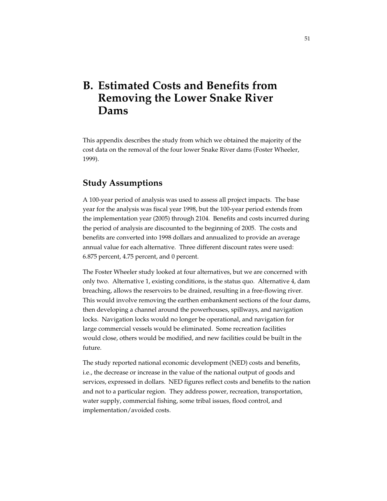# **B. Estimated Costs and Benefits from Removing the Lower Snake River Dams**

This appendix describes the study from which we obtained the majority of the cost data on the removal of the four lower Snake River dams (Foster Wheeler, 1999).

## **Study Assumptions**

A 100-year period of analysis was used to assess all project impacts. The base year for the analysis was fiscal year 1998, but the 100-year period extends from the implementation year (2005) through 2104. Benefits and costs incurred during the period of analysis are discounted to the beginning of 2005. The costs and benefits are converted into 1998 dollars and annualized to provide an average annual value for each alternative. Three different discount rates were used: 6.875 percent, 4.75 percent, and 0 percent.

The Foster Wheeler study looked at four alternatives, but we are concerned with only two. Alternative 1, existing conditions, is the status quo. Alternative 4, dam breaching, allows the reservoirs to be drained, resulting in a free-flowing river. This would involve removing the earthen embankment sections of the four dams, then developing a channel around the powerhouses, spillways, and navigation locks. Navigation locks would no longer be operational, and navigation for large commercial vessels would be eliminated. Some recreation facilities would close, others would be modified, and new facilities could be built in the future.

The study reported national economic development (NED) costs and benefits, i.e., the decrease or increase in the value of the national output of goods and services, expressed in dollars. NED figures reflect costs and benefits to the nation and not to a particular region. They address power, recreation, transportation, water supply, commercial fishing, some tribal issues, flood control, and implementation/avoided costs.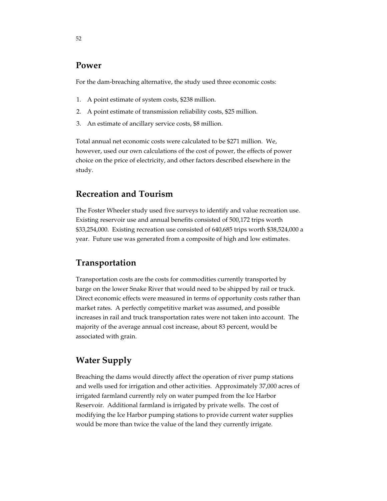## **Power**

For the dam-breaching alternative, the study used three economic costs:

- 1. A point estimate of system costs, \$238 million.
- 2. A point estimate of transmission reliability costs, \$25 million.
- 3. An estimate of ancillary service costs, \$8 million.

Total annual net economic costs were calculated to be \$271 million. We, however, used our own calculations of the cost of power, the effects of power choice on the price of electricity, and other factors described elsewhere in the study.

## **Recreation and Tourism**

The Foster Wheeler study used five surveys to identify and value recreation use. Existing reservoir use and annual benefits consisted of 500,172 trips worth \$33,254,000. Existing recreation use consisted of 640,685 trips worth \$38,524,000 a year. Future use was generated from a composite of high and low estimates.

## **Transportation**

Transportation costs are the costs for commodities currently transported by barge on the lower Snake River that would need to be shipped by rail or truck. Direct economic effects were measured in terms of opportunity costs rather than market rates. A perfectly competitive market was assumed, and possible increases in rail and truck transportation rates were not taken into account. The majority of the average annual cost increase, about 83 percent, would be associated with grain.

## **Water Supply**

Breaching the dams would directly affect the operation of river pump stations and wells used for irrigation and other activities. Approximately 37,000 acres of irrigated farmland currently rely on water pumped from the Ice Harbor Reservoir. Additional farmland is irrigated by private wells. The cost of modifying the Ice Harbor pumping stations to provide current water supplies would be more than twice the value of the land they currently irrigate.

52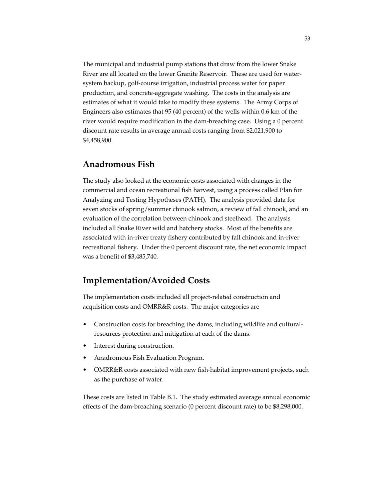The municipal and industrial pump stations that draw from the lower Snake River are all located on the lower Granite Reservoir. These are used for watersystem backup, golf-course irrigation, industrial process water for paper production, and concrete-aggregate washing. The costs in the analysis are estimates of what it would take to modify these systems. The Army Corps of Engineers also estimates that 95 (40 percent) of the wells within 0.6 km of the river would require modification in the dam-breaching case. Using a 0 percent discount rate results in average annual costs ranging from \$2,021,900 to \$4,458,900.

## **Anadromous Fish**

The study also looked at the economic costs associated with changes in the commercial and ocean recreational fish harvest, using a process called Plan for Analyzing and Testing Hypotheses (PATH). The analysis provided data for seven stocks of spring/summer chinook salmon, a review of fall chinook, and an evaluation of the correlation between chinook and steelhead. The analysis included all Snake River wild and hatchery stocks. Most of the benefits are associated with in-river treaty fishery contributed by fall chinook and in-river recreational fishery. Under the 0 percent discount rate, the net economic impact was a benefit of \$3,485,740.

## **Implementation/Avoided Costs**

The implementation costs included all project-related construction and acquisition costs and OMRR&R costs. The major categories are

- Construction costs for breaching the dams, including wildlife and culturalresources protection and mitigation at each of the dams.
- Interest during construction.
- Anadromous Fish Evaluation Program.
- OMRR&R costs associated with new fish-habitat improvement projects, such as the purchase of water.

These costs are listed in Table B.1. The study estimated average annual economic effects of the dam-breaching scenario (0 percent discount rate) to be \$8,298,000.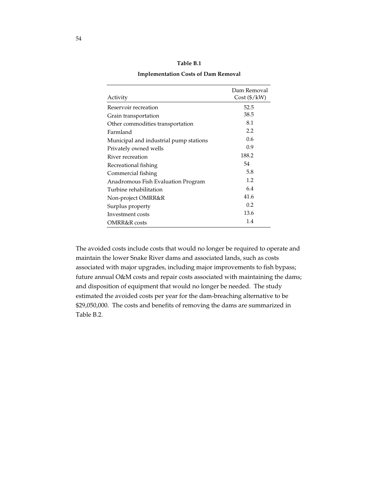| Table B.1 |  |
|-----------|--|
|-----------|--|

| Activity             | Dam Removal<br>Cost(S/kW) |
|----------------------|---------------------------|
| Reservoir recreation | 52.5                      |

**Implementation Costs of Dam Removal**

| Grain transportation                   | 38.5  |
|----------------------------------------|-------|
| Other commodities transportation       | 8.1   |
| Farmland                               | 2.2   |
| Municipal and industrial pump stations | 0.6   |
| Privately owned wells                  | 0.9   |
| River recreation                       | 188.2 |
| Recreational fishing                   | 54    |
| Commercial fishing                     | 5.8   |
| Anadromous Fish Evaluation Program     | 1.2   |
| Turbine rehabilitation                 | 6.4   |
| Non-project OMRR&R                     | 41.6  |
| Surplus property                       | 0.2   |
| Investment costs                       | 13.6  |
| OMRR&R costs                           | 1.4   |

The avoided costs include costs that would no longer be required to operate and maintain the lower Snake River dams and associated lands, such as costs associated with major upgrades, including major improvements to fish bypass; future annual O&M costs and repair costs associated with maintaining the dams; and disposition of equipment that would no longer be needed. The study estimated the avoided costs per year for the dam-breaching alternative to be \$29,050,000. The costs and benefits of removing the dams are summarized in Table B.2.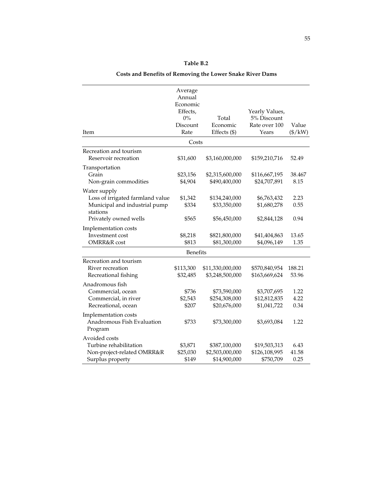**Costs and Benefits of Removing the Lower Snake River Dams**

| Item                                                                                                                   | Average<br>Annual<br>Economic<br>Effects,<br>$0\%$<br>Discount<br>Rate | Total<br>Economic<br>Effects $(\$)$              | Yearly Values,<br>5% Discount<br>Rate over 100<br>Years | Value<br>$(\frac{6}{kW})$ |
|------------------------------------------------------------------------------------------------------------------------|------------------------------------------------------------------------|--------------------------------------------------|---------------------------------------------------------|---------------------------|
|                                                                                                                        | Costs                                                                  |                                                  |                                                         |                           |
| Recreation and tourism<br>Reservoir recreation                                                                         | \$31,600                                                               | \$3,160,000,000                                  | \$159,210,716                                           | 52.49                     |
| Transportation<br>Grain<br>Non-grain commodities                                                                       | \$23,156<br>\$4,904                                                    | \$2,315,600,000<br>\$490,400,000                 | \$116,667,195<br>\$24,707,891                           | 38.467<br>8.15            |
| Water supply<br>Loss of irrigated farmland value<br>Municipal and industrial pump<br>stations<br>Privately owned wells | \$1,342<br>\$334<br>\$565                                              | \$134,240,000<br>\$33,350,000<br>\$56,450,000    | \$6,763,432<br>\$1,680,278<br>\$2,844,128               | 2.23<br>0.55<br>0.94      |
| Implementation costs<br>Investment cost<br>OMRR&R cost                                                                 | \$8,218<br>\$813                                                       | \$821,800,000<br>\$81,300,000                    | \$41,404,863<br>\$4,096,149                             | 13.65<br>1.35             |
|                                                                                                                        | <b>Benefits</b>                                                        |                                                  |                                                         |                           |
| Recreation and tourism<br>River recreation<br>Recreational fishing                                                     | \$113,300<br>\$32,485                                                  | \$11,330,000,000<br>\$3,248,500,000              | \$570,840,954<br>\$163,669,624                          | 188.21<br>53.96           |
| Anadromous fish<br>Commercial, ocean<br>Commercial, in river<br>Recreational, ocean                                    | \$736<br>\$2,543<br>\$207                                              | \$73,590,000<br>\$254,308,000<br>\$20,676,000    | \$3,707,695<br>\$12,812,835<br>\$1,041,722              | 1.22<br>4.22<br>0.34      |
| Implementation costs<br>Anadromous Fish Evaluation<br>Program                                                          | \$733                                                                  | \$73,300,000                                     | \$3,693,084                                             | 1.22                      |
| Avoided costs<br>Turbine rehabilitation<br>Non-project-related OMRR&R<br>Surplus property                              | \$3,871<br>\$25,030<br>\$149                                           | \$387,100,000<br>\$2,503,000,000<br>\$14,900,000 | \$19,503,313<br>\$126,108,995<br>\$750,709              | 6.43<br>41.58<br>0.25     |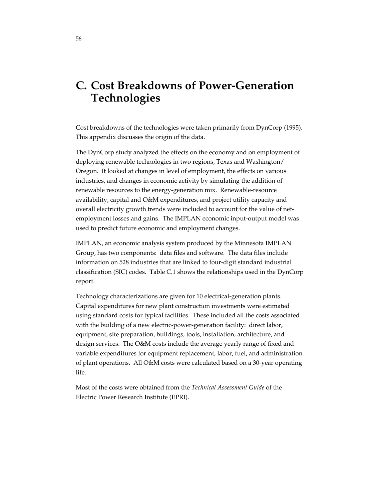# **C. Cost Breakdowns of Power-Generation Technologies**

Cost breakdowns of the technologies were taken primarily from DynCorp (1995). This appendix discusses the origin of the data.

The DynCorp study analyzed the effects on the economy and on employment of deploying renewable technologies in two regions, Texas and Washington/ Oregon. It looked at changes in level of employment, the effects on various industries, and changes in economic activity by simulating the addition of renewable resources to the energy-generation mix. Renewable-resource availability, capital and O&M expenditures, and project utility capacity and overall electricity growth trends were included to account for the value of netemployment losses and gains. The IMPLAN economic input-output model was used to predict future economic and employment changes.

IMPLAN, an economic analysis system produced by the Minnesota IMPLAN Group, has two components: data files and software. The data files include information on 528 industries that are linked to four-digit standard industrial classification (SIC) codes. Table C.1 shows the relationships used in the DynCorp report.

Technology characterizations are given for 10 electrical-generation plants. Capital expenditures for new plant construction investments were estimated using standard costs for typical facilities. These included all the costs associated with the building of a new electric-power-generation facility: direct labor, equipment, site preparation, buildings, tools, installation, architecture, and design services. The O&M costs include the average yearly range of fixed and variable expenditures for equipment replacement, labor, fuel, and administration of plant operations. All O&M costs were calculated based on a 30-year operating life.

Most of the costs were obtained from the *Technical Assessment Guide* of the Electric Power Research Institute (EPRI).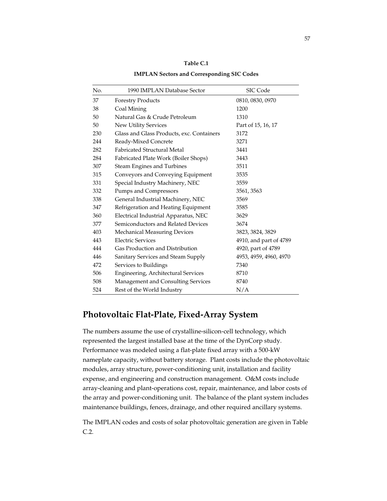| Table C. |  |
|----------|--|
|----------|--|

**IMPLAN Sectors and Corresponding SIC Codes**

| No. | 1990 IMPLAN Database Sector               | SIC Code               |
|-----|-------------------------------------------|------------------------|
| 37  | <b>Forestry Products</b>                  | 0810, 0830, 0970       |
| 38  | Coal Mining                               | 1200                   |
| 50  | Natural Gas & Crude Petroleum             | 1310                   |
| 50  | New Utility Services                      | Part of 15, 16, 17     |
| 230 | Glass and Glass Products, exc. Containers | 3172                   |
| 244 | Ready-Mixed Concrete                      | 3271                   |
| 282 | <b>Fabricated Structural Metal</b>        | 3441                   |
| 284 | Fabricated Plate Work (Boiler Shops)      | 3443                   |
| 307 | Steam Engines and Turbines                | 3511                   |
| 315 | Conveyors and Conveying Equipment         | 3535                   |
| 331 | Special Industry Machinery, NEC           | 3559                   |
| 332 | Pumps and Compressors                     | 3561, 3563             |
| 338 | General Industrial Machinery, NEC         | 3569                   |
| 347 | Refrigeration and Heating Equipment       | 3585                   |
| 360 | Electrical Industrial Apparatus, NEC      | 3629                   |
| 377 | Semiconductors and Related Devices        | 3674                   |
| 403 | <b>Mechanical Measuring Devices</b>       | 3823, 3824, 3829       |
| 443 | <b>Electric Services</b>                  | 4910, and part of 4789 |
| 444 | Gas Production and Distribution           | 4920, part of 4789     |
| 446 | Sanitary Services and Steam Supply        | 4953, 4959, 4960, 4970 |
| 472 | Services to Buildings                     | 7340                   |
| 506 | Engineering, Architectural Services       | 8710                   |
| 508 | Management and Consulting Services        | 8740                   |
| 524 | Rest of the World Industry                | N/A                    |

# **Photovoltaic Flat-Plate, Fixed-Array System**

The numbers assume the use of crystalline-silicon-cell technology, which represented the largest installed base at the time of the DynCorp study. Performance was modeled using a flat-plate fixed array with a 500-kW nameplate capacity, without battery storage. Plant costs include the photovoltaic modules, array structure, power-conditioning unit, installation and facility expense, and engineering and construction management. O&M costs include array-cleaning and plant-operations cost, repair, maintenance, and labor costs of the array and power-conditioning unit. The balance of the plant system includes maintenance buildings, fences, drainage, and other required ancillary systems.

The IMPLAN codes and costs of solar photovoltaic generation are given in Table C.2.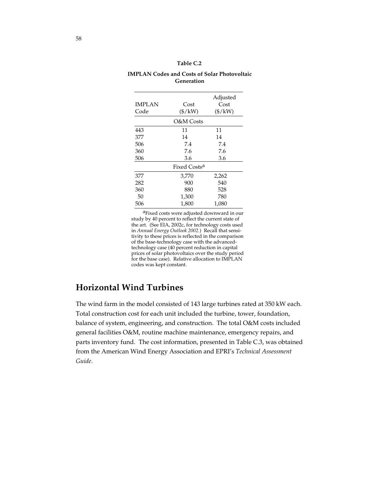#### **Table C.2**

# **IMPLAN Codes and Costs of Solar Photovoltaic Generation**

| <b>IMPLAN</b><br>Code | Cost<br>$(\frac{5}{kW})$ | Adjusted<br>Cost<br>$(\frac{5}{kW})$ |
|-----------------------|--------------------------|--------------------------------------|
|                       | O&M Costs                |                                      |
| 443                   | 11                       | 11                                   |
| 377                   | 14                       | 14                                   |
| 506                   | 7.4                      | 7.4                                  |
| 360                   | 7.6                      | 7.6                                  |
| 506                   | 3.6                      | 3.6                                  |
|                       | Fixed Costs <sup>a</sup> |                                      |
| 377                   | 3,770                    | 2,262                                |
| 282                   | 900                      | 540                                  |
| 360                   | 880                      | 528                                  |
| 50                    | 1,300                    | 780                                  |
| 506                   | 1,800                    | 1,080                                |
|                       |                          |                                      |

aFixed costs were adjusted downward in our study by 40 percent to reflect the current state of the art. (See EIA, 2002c, for technology costs used in *Annual Energy Outlook 2002.*) Recall that sensitivity to these prices is reflected in the comparison of the base-technology case with the advancedtechnology case (40 percent reduction in capital prices of solar photovoltaics over the study period for the base case). Relative allocation to IMPLAN codes was kept constant.

# **Horizontal Wind Turbines**

The wind farm in the model consisted of 143 large turbines rated at 350 kW each. Total construction cost for each unit included the turbine, tower, foundation, balance of system, engineering, and construction. The total O&M costs included general facilities O&M, routine machine maintenance, emergency repairs, and parts inventory fund. The cost information, presented in Table C.3, was obtained from the American Wind Energy Association and EPRI's *Technical Assessment Guide*.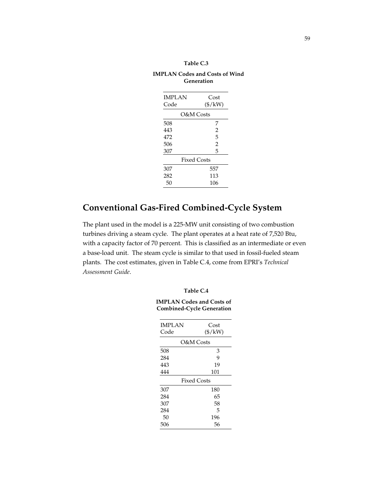### **Table C.3**

#### **IMPLAN Codes and Costs of Wind Generation**

| <b>IMPLAN</b>      | Cost             |
|--------------------|------------------|
| Code               | $(\frac{5}{kW})$ |
| O&M Costs          |                  |
| 508                | 7                |
| 443                | $\mathfrak{D}$   |
| 472                | 5                |
| 506                | $\mathfrak{D}$   |
| 307                | 5                |
| <b>Fixed Costs</b> |                  |
| 307                | 557              |
| 282                | 113              |
| 50                 | 106              |
|                    |                  |

# **Conventional Gas-Fired Combined-Cycle System**

The plant used in the model is a 225-MW unit consisting of two combustion turbines driving a steam cycle. The plant operates at a heat rate of 7,520 Btu, with a capacity factor of 70 percent. This is classified as an intermediate or even a base-load unit. The steam cycle is similar to that used in fossil-fueled steam plants. The cost estimates, given in Table C.4, come from EPRI's *Technical Assessment Guide*.

#### **Table C.4**

#### **IMPLAN Codes and Costs of Combined-Cycle Generation**

| <b>IMPLAN</b>      | Cost             |
|--------------------|------------------|
| Code               | $(\frac{5}{kW})$ |
| O&M Costs          |                  |
| 508                | 3                |
| 284                | 9                |
| 443                | 19               |
| 444                | 101              |
| <b>Fixed Costs</b> |                  |
| 307                | 180              |
| 284                | 65               |
| 307                | 58               |
| 284                | 5                |
| 50                 | 196              |
| 506                | 56               |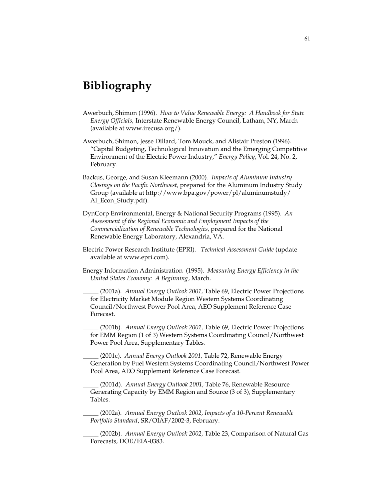# **Bibliography**

- Awerbuch, Shimon (1996). *How to Value Renewable Energy: A Handbook for State Energy Officials,* Interstate Renewable Energy Council, Latham, NY, March (available at www.irecusa.org/).
- Awerbuch, Shimon, Jesse Dillard, Tom Mouck, and Alistair Preston (1996). "Capital Budgeting, Technological Innovation and the Emerging Competitive Environment of the Electric Power Industry," *Energy Policy*, Vol. 24, No. 2, February.
- Backus, George, and Susan Kleemann (2000). *Impacts of Aluminum Industry Closings on the Pacific Northwest,* prepared for the Aluminum Industry Study Group (available at http://www.bpa.gov/power/pl/aluminumstudy/ Al\_Econ\_Study.pdf).
- DynCorp Environmental, Energy & National Security Programs (1995). *An Assessment of the Regional Economic and Employment Impacts of the Commercialization of Renewable Technologies,* prepared for the National Renewable Energy Laboratory, Alexandria, VA.
- Electric Power Research Institute (EPRI). *Technical Assessment Guide* (update available at www.epri.com).
- Energy Information Administration (1995). *Measuring Energy Efficiency in the United States Economy: A Beginning*, March.

\_\_\_\_\_ (2001a). *Annual Energy Outlook 2001,* Table 69, Electric Power Projections for Electricity Market Module Region Western Systems Coordinating Council/Northwest Power Pool Area, AEO Supplement Reference Case Forecast.

- \_\_\_\_\_ (2001b). *Annual Energy Outlook 2001,* Table 69, Electric Power Projections for EMM Region (1 of 3) Western Systems Coordinating Council/Northwest Power Pool Area, Supplementary Tables*.*
- \_\_\_\_\_ (2001c). *Annual Energy Outlook 2001,* Table 72, Renewable Energy Generation by Fuel Western Systems Coordinating Council/Northwest Power Pool Area, AEO Supplement Reference Case Forecast.
- \_\_\_\_\_ (2001d). *Annual Energy Outlook 2001,* Table 76, Renewable Resource Generating Capacity by EMM Region and Source (3 of 3), Supplementary Tables.
- \_\_\_\_\_ (2002a). *Annual Energy Outlook 2002, Impacts of a 10-Percent Renewable Portfolio Standard*, SR/OIAF/2002-3, February.
- \_\_\_\_\_ (2002b). *Annual Energy Outlook 2002,* Table 23, Comparison of Natural Gas Forecasts, DOE/EIA-0383.